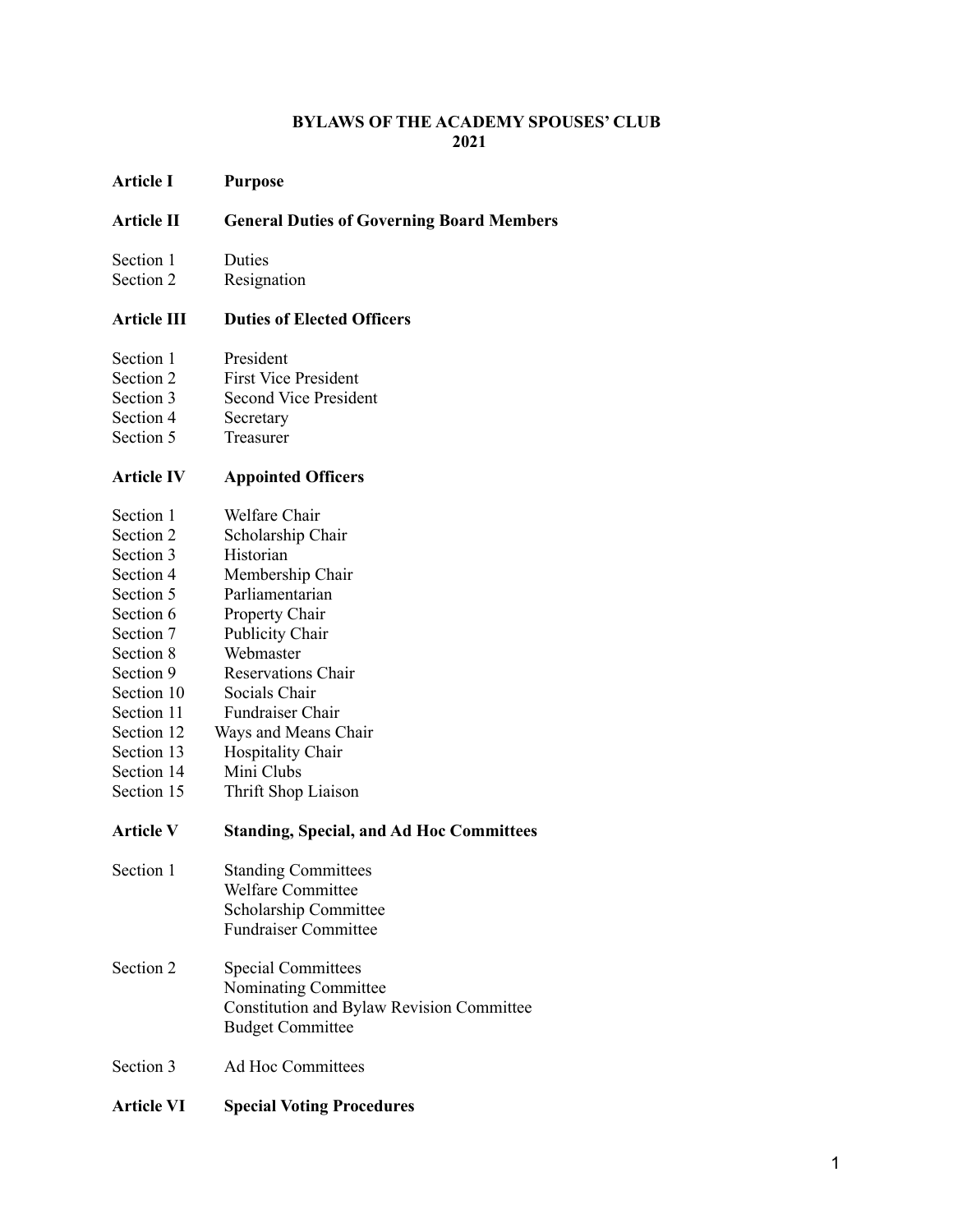#### **BYLAWS OF THE ACADEMY SPOUSES' CLUB 2021**

**Article I Purpose**

#### **Article II General Duties of Governing Board Members**

- Section 1 Duties
- Section 2 Resignation

#### **Article III Duties of Elected Officers**

- Section 1 President
- Section 2 First Vice President
- Section 3 Second Vice President
- Section 4 Secretary
- Section 5 Treasurer

#### **Article IV Appointed Officers**

- Section 1 Welfare Chair<br>Section 2 Scholarshin Ch
- Scholarship Chair
- Section 3 Historian
- Section 4 Membership Chair<br>Section 5 Parliamentarian
- Section 5 Parliamentarian<br>Section 6 Property Chair
- Section 6 Property Chair<br>Section 7 Publicity Chair
- Publicity Chair
- Section 8 Webmaster
- Section 9 Reservations Chair<br>Section 10 Socials Chair
- Socials Chair
- Section 11 Fundraiser Chair
- Section 12 Ways and Means Chair
- Section 13 Hospitality Chair<br>Section 14 Mini Clubs
- Section 14 Mini Clubs<br>Section 15 Thrift Shop
- Thrift Shop Liaison

#### **Article V Standing, Special, and Ad Hoc Committees**

- Section 1 Standing Committees Welfare Committee Scholarship Committee Fundraiser Committee
- Section 2 Special Committees Nominating Committee Constitution and Bylaw Revision Committee Budget Committee
- Section 3 Ad Hoc Committees
- **Article VI Special Voting Procedures**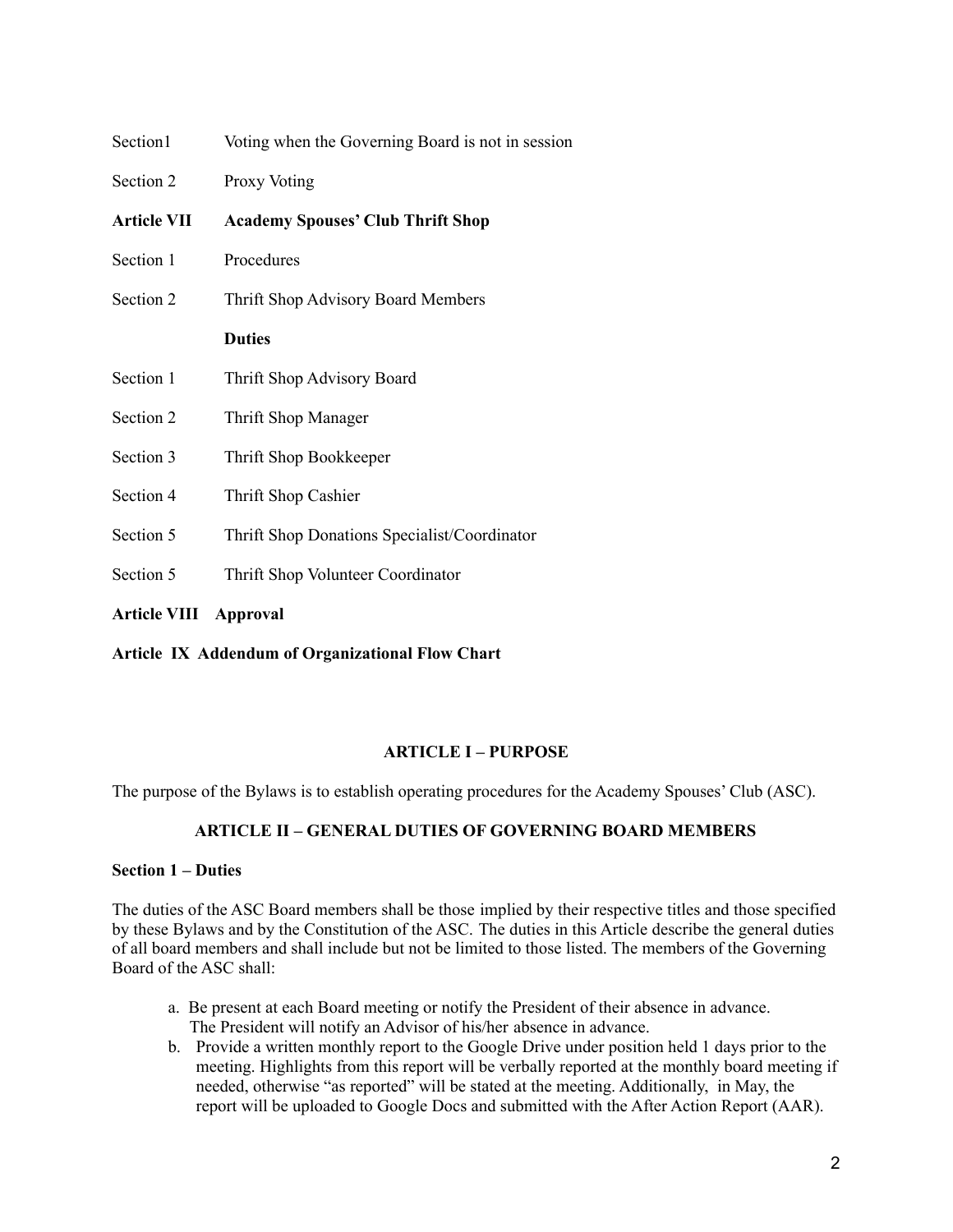| Section1                                                | Voting when the Governing Board is not in session |
|---------------------------------------------------------|---------------------------------------------------|
| Section 2                                               | <b>Proxy Voting</b>                               |
| <b>Article VII</b>                                      | <b>Academy Spouses' Club Thrift Shop</b>          |
| Section 1                                               | Procedures                                        |
| Section 2                                               | Thrift Shop Advisory Board Members                |
|                                                         | <b>Duties</b>                                     |
| Section 1                                               | Thrift Shop Advisory Board                        |
| Section 2                                               | Thrift Shop Manager                               |
| Section 3                                               | Thrift Shop Bookkeeper                            |
| Section 4                                               | Thrift Shop Cashier                               |
| Section 5                                               | Thrift Shop Donations Specialist/Coordinator      |
| Section 5                                               | Thrift Shop Volunteer Coordinator                 |
| <b>Article VIII</b>                                     | <b>Approval</b>                                   |
| <b>Article IX Addendum of Organizational Flow Chart</b> |                                                   |

# **ARTICLE I – PURPOSE**

The purpose of the Bylaws is to establish operating procedures for the Academy Spouses' Club (ASC).

# **ARTICLE II – GENERAL DUTIES OF GOVERNING BOARD MEMBERS**

#### **Section 1 – Duties**

The duties of the ASC Board members shall be those implied by their respective titles and those specified by these Bylaws and by the Constitution of the ASC. The duties in this Article describe the general duties of all board members and shall include but not be limited to those listed. The members of the Governing Board of the ASC shall:

- a. Be present at each Board meeting or notify the President of their absence in advance. The President will notify an Advisor of his/her absence in advance.
- b. Provide a written monthly report to the Google Drive under position held 1 days prior to the meeting. Highlights from this report will be verbally reported at the monthly board meeting if needed, otherwise "as reported" will be stated at the meeting. Additionally, in May, the report will be uploaded to Google Docs and submitted with the After Action Report (AAR).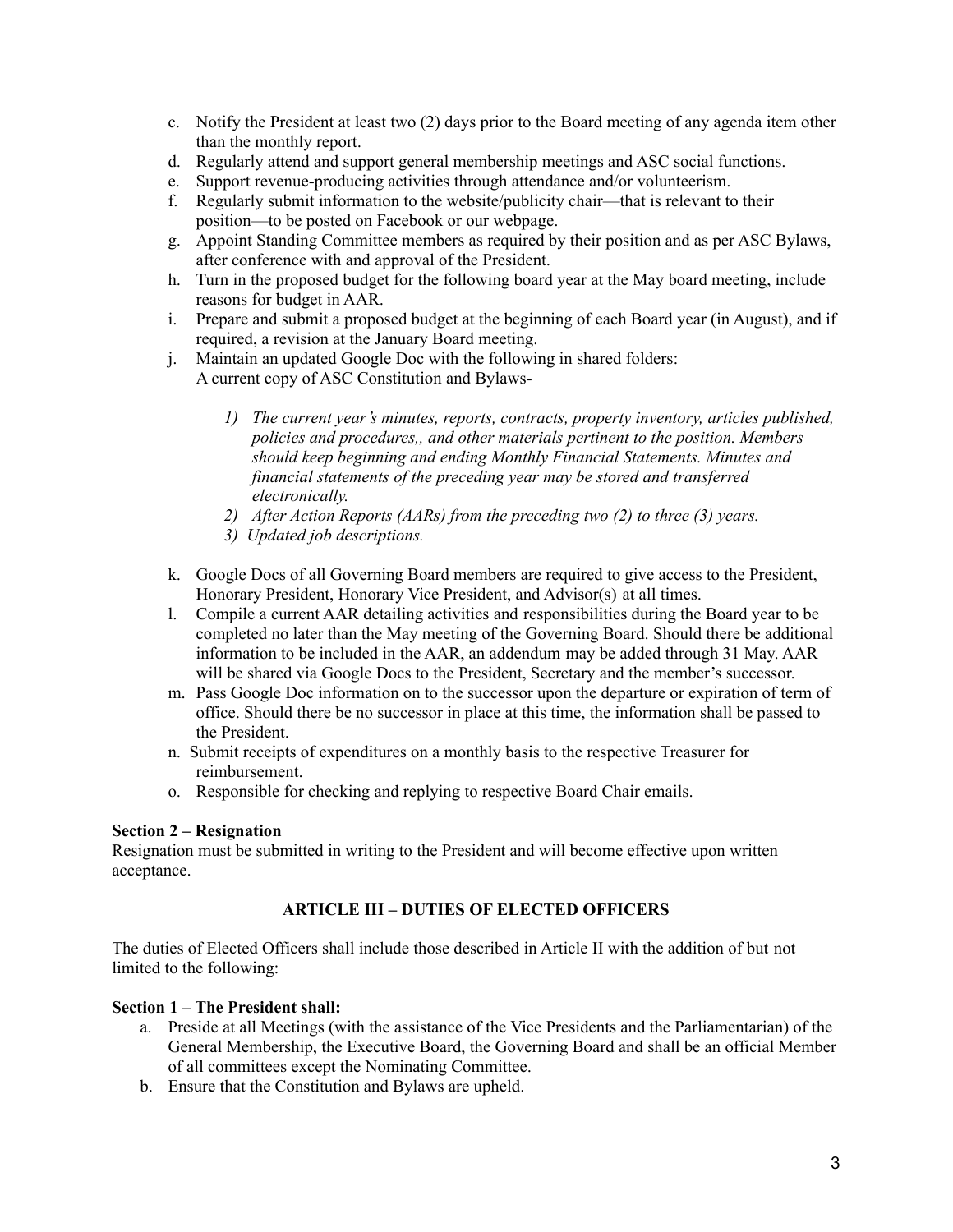- c. Notify the President at least two (2) days prior to the Board meeting of any agenda item other than the monthly report.
- d. Regularly attend and support general membership meetings and ASC social functions.
- e. Support revenue-producing activities through attendance and/or volunteerism.
- f. Regularly submit information to the website/publicity chair—that is relevant to their position—to be posted on Facebook or our webpage.
- g. Appoint Standing Committee members as required by their position and as per ASC Bylaws, after conference with and approval of the President.
- h. Turn in the proposed budget for the following board year at the May board meeting, include reasons for budget in AAR.
- i. Prepare and submit a proposed budget at the beginning of each Board year (in August), and if required, a revision at the January Board meeting.
- j. Maintain an updated Google Doc with the following in shared folders: A current copy of ASC Constitution and Bylaws-
	- *1) The current year's minutes, reports, contracts, property inventory, articles published, policies and procedures,, and other materials pertinent to the position. Members should keep beginning and ending Monthly Financial Statements. Minutes and financial statements of the preceding year may be stored and transferred electronically.*
	- *2) After Action Reports (AARs) from the preceding two (2) to three (3) years.*
	- *3) Updated job descriptions.*
- k. Google Docs of all Governing Board members are required to give access to the President, Honorary President, Honorary Vice President, and Advisor(s) at all times.
- l. Compile a current AAR detailing activities and responsibilities during the Board year to be completed no later than the May meeting of the Governing Board. Should there be additional information to be included in the AAR, an addendum may be added through 31 May. AAR will be shared via Google Docs to the President, Secretary and the member's successor.
- m. Pass Google Doc information on to the successor upon the departure or expiration of term of office. Should there be no successor in place at this time, the information shall be passed to the President.
- n. Submit receipts of expenditures on a monthly basis to the respective Treasurer for reimbursement.
- o. Responsible for checking and replying to respective Board Chair emails.

# **Section 2 – Resignation**

Resignation must be submitted in writing to the President and will become effective upon written acceptance.

# **ARTICLE III – DUTIES OF ELECTED OFFICERS**

The duties of Elected Officers shall include those described in Article II with the addition of but not limited to the following:

#### **Section 1 – The President shall:**

- a. Preside at all Meetings (with the assistance of the Vice Presidents and the Parliamentarian) of the General Membership, the Executive Board, the Governing Board and shall be an official Member of all committees except the Nominating Committee.
- b. Ensure that the Constitution and Bylaws are upheld.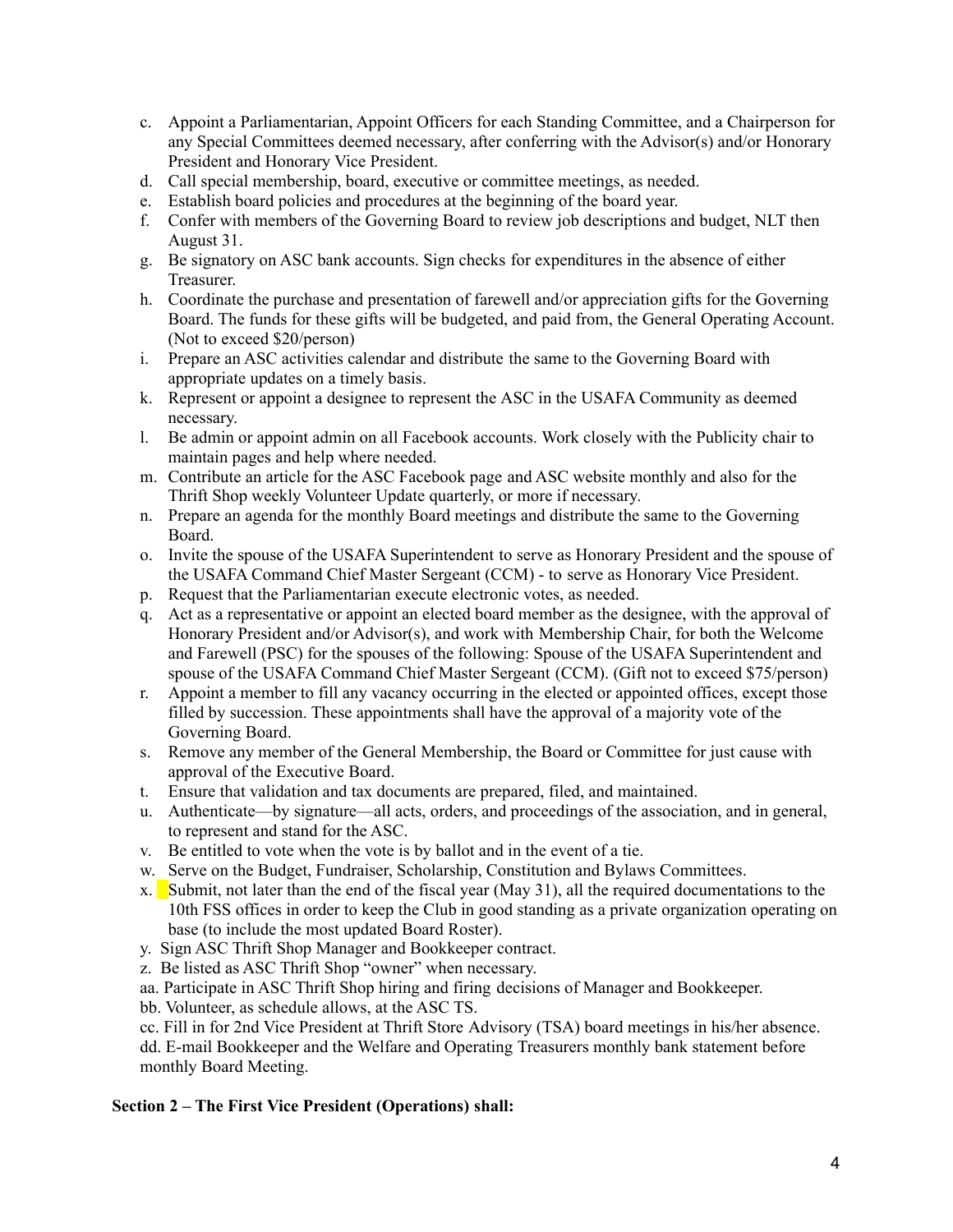- c. Appoint a Parliamentarian, Appoint Officers for each Standing Committee, and a Chairperson for any Special Committees deemed necessary, after conferring with the Advisor(s) and/or Honorary President and Honorary Vice President.
- d. Call special membership, board, executive or committee meetings, as needed.
- e. Establish board policies and procedures at the beginning of the board year.
- f. Confer with members of the Governing Board to review job descriptions and budget, NLT then August 31.
- g. Be signatory on ASC bank accounts. Sign checks for expenditures in the absence of either Treasurer.
- h. Coordinate the purchase and presentation of farewell and/or appreciation gifts for the Governing Board. The funds for these gifts will be budgeted, and paid from, the General Operating Account. (Not to exceed \$20/person)
- i. Prepare an ASC activities calendar and distribute the same to the Governing Board with appropriate updates on a timely basis.
- k. Represent or appoint a designee to represent the ASC in the USAFA Community as deemed necessary.
- l. Be admin or appoint admin on all Facebook accounts. Work closely with the Publicity chair to maintain pages and help where needed.
- m. Contribute an article for the ASC Facebook page and ASC website monthly and also for the Thrift Shop weekly Volunteer Update quarterly, or more if necessary.
- n. Prepare an agenda for the monthly Board meetings and distribute the same to the Governing Board.
- o. Invite the spouse of the USAFA Superintendent to serve as Honorary President and the spouse of the USAFA Command Chief Master Sergeant (CCM) - to serve as Honorary Vice President.
- p. Request that the Parliamentarian execute electronic votes, as needed.
- q. Act as a representative or appoint an elected board member as the designee, with the approval of Honorary President and/or Advisor(s), and work with Membership Chair, for both the Welcome and Farewell (PSC) for the spouses of the following: Spouse of the USAFA Superintendent and spouse of the USAFA Command Chief Master Sergeant (CCM). (Gift not to exceed \$75/person)
- r. Appoint a member to fill any vacancy occurring in the elected or appointed offices, except those filled by succession. These appointments shall have the approval of a majority vote of the Governing Board.
- s. Remove any member of the General Membership, the Board or Committee for just cause with approval of the Executive Board.
- t. Ensure that validation and tax documents are prepared, filed, and maintained.
- u. Authenticate—by signature—all acts, orders, and proceedings of the association, and in general, to represent and stand for the ASC.
- v. Be entitled to vote when the vote is by ballot and in the event of a tie.
- w. Serve on the Budget, Fundraiser, Scholarship, Constitution and Bylaws Committees.
- x. Submit, not later than the end of the fiscal year (May 31), all the required documentations to the 10th FSS offices in order to keep the Club in good standing as a private organization operating on base (to include the most updated Board Roster).
- y. Sign ASC Thrift Shop Manager and Bookkeeper contract.
- z. Be listed as ASC Thrift Shop "owner" when necessary.
- aa. Participate in ASC Thrift Shop hiring and firing decisions of Manager and Bookkeeper.
- bb. Volunteer, as schedule allows, at the ASC TS.
- cc. Fill in for 2nd Vice President at Thrift Store Advisory (TSA) board meetings in his/her absence.

dd. E-mail Bookkeeper and the Welfare and Operating Treasurers monthly bank statement before monthly Board Meeting.

# **Section 2 – The First Vice President (Operations) shall:**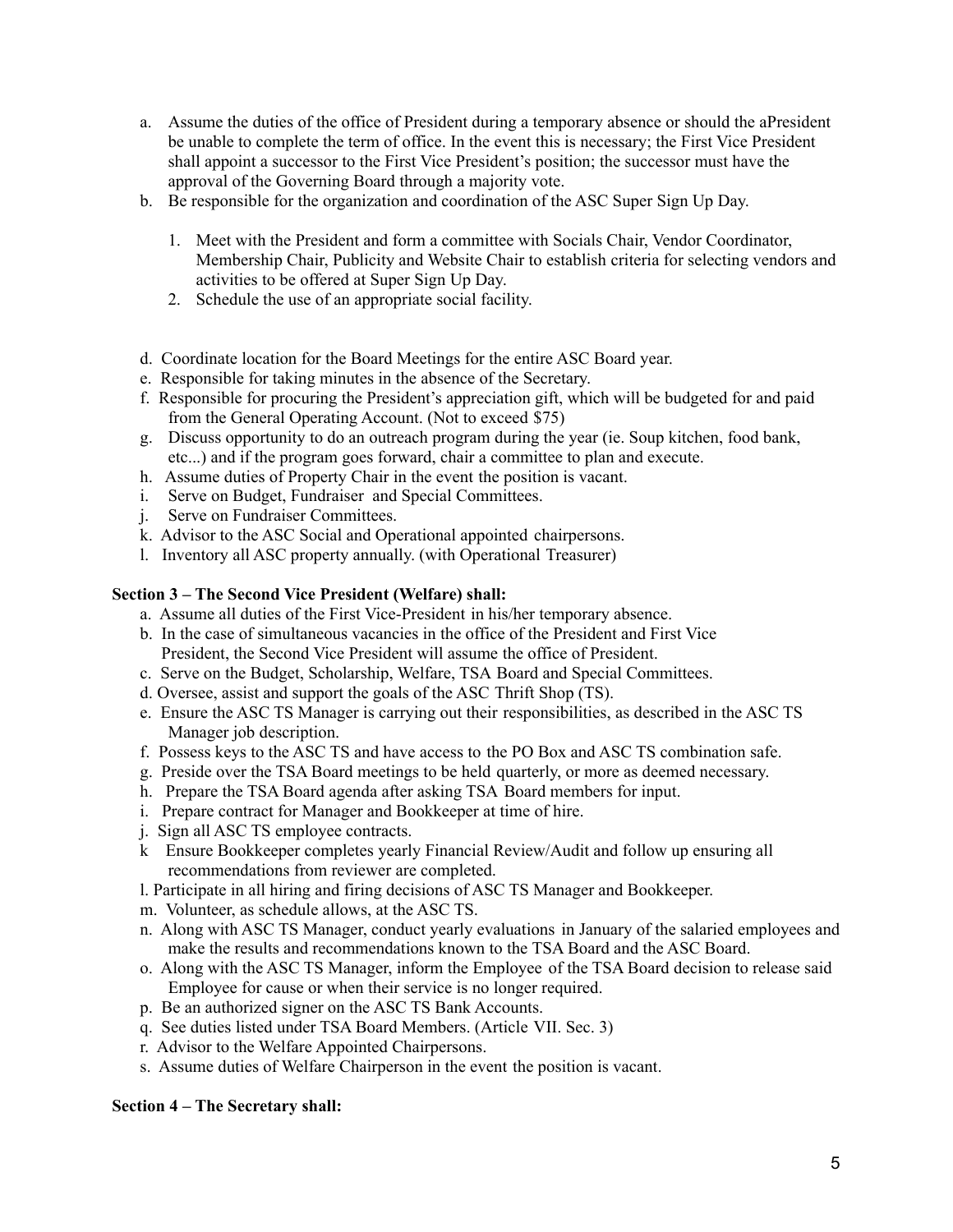- a. Assume the duties of the office of President during a temporary absence or should the aPresident be unable to complete the term of office. In the event this is necessary; the First Vice President shall appoint a successor to the First Vice President's position; the successor must have the approval of the Governing Board through a majority vote.
- b. Be responsible for the organization and coordination of the ASC Super Sign Up Day.
	- 1. Meet with the President and form a committee with Socials Chair, Vendor Coordinator, Membership Chair, Publicity and Website Chair to establish criteria for selecting vendors and activities to be offered at Super Sign Up Day.
	- 2. Schedule the use of an appropriate social facility.
- d. Coordinate location for the Board Meetings for the entire ASC Board year.
- e. Responsible for taking minutes in the absence of the Secretary.
- f. Responsible for procuring the President's appreciation gift, which will be budgeted for and paid from the General Operating Account. (Not to exceed \$75)
- g. Discuss opportunity to do an outreach program during the year (ie. Soup kitchen, food bank, etc...) and if the program goes forward, chair a committee to plan and execute.
- h. Assume duties of Property Chair in the event the position is vacant.
- i. Serve on Budget, Fundraiser and Special Committees.
- j. Serve on Fundraiser Committees.
- k. Advisor to the ASC Social and Operational appointed chairpersons.
- l. Inventory all ASC property annually. (with Operational Treasurer)

#### **Section 3 – The Second Vice President (Welfare) shall:**

- a. Assume all duties of the First Vice-President in his/her temporary absence.
- b. In the case of simultaneous vacancies in the office of the President and First Vice President, the Second Vice President will assume the office of President.
- c. Serve on the Budget, Scholarship, Welfare, TSA Board and Special Committees.
- d. Oversee, assist and support the goals of the ASC Thrift Shop (TS).
- e. Ensure the ASC TS Manager is carrying out their responsibilities, as described in the ASC TS Manager job description.
- f. Possess keys to the ASC TS and have access to the PO Box and ASC TS combination safe.
- g. Preside over the TSA Board meetings to be held quarterly, or more as deemed necessary.
- h. Prepare the TSA Board agenda after asking TSA Board members for input.
- i. Prepare contract for Manager and Bookkeeper at time of hire.
- j. Sign all ASC TS employee contracts.
- k Ensure Bookkeeper completes yearly Financial Review/Audit and follow up ensuring all recommendations from reviewer are completed.
- l. Participate in all hiring and firing decisions of ASC TS Manager and Bookkeeper.
- m. Volunteer, as schedule allows, at the ASC TS.
- n. Along with ASC TS Manager, conduct yearly evaluations in January of the salaried employees and make the results and recommendations known to the TSA Board and the ASC Board.
- o. Along with the ASC TS Manager, inform the Employee of the TSA Board decision to release said Employee for cause or when their service is no longer required.
- p. Be an authorized signer on the ASC TS Bank Accounts.
- q. See duties listed under TSA Board Members. (Article VII. Sec. 3)
- r. Advisor to the Welfare Appointed Chairpersons.
- s. Assume duties of Welfare Chairperson in the event the position is vacant.

#### **Section 4 – The Secretary shall:**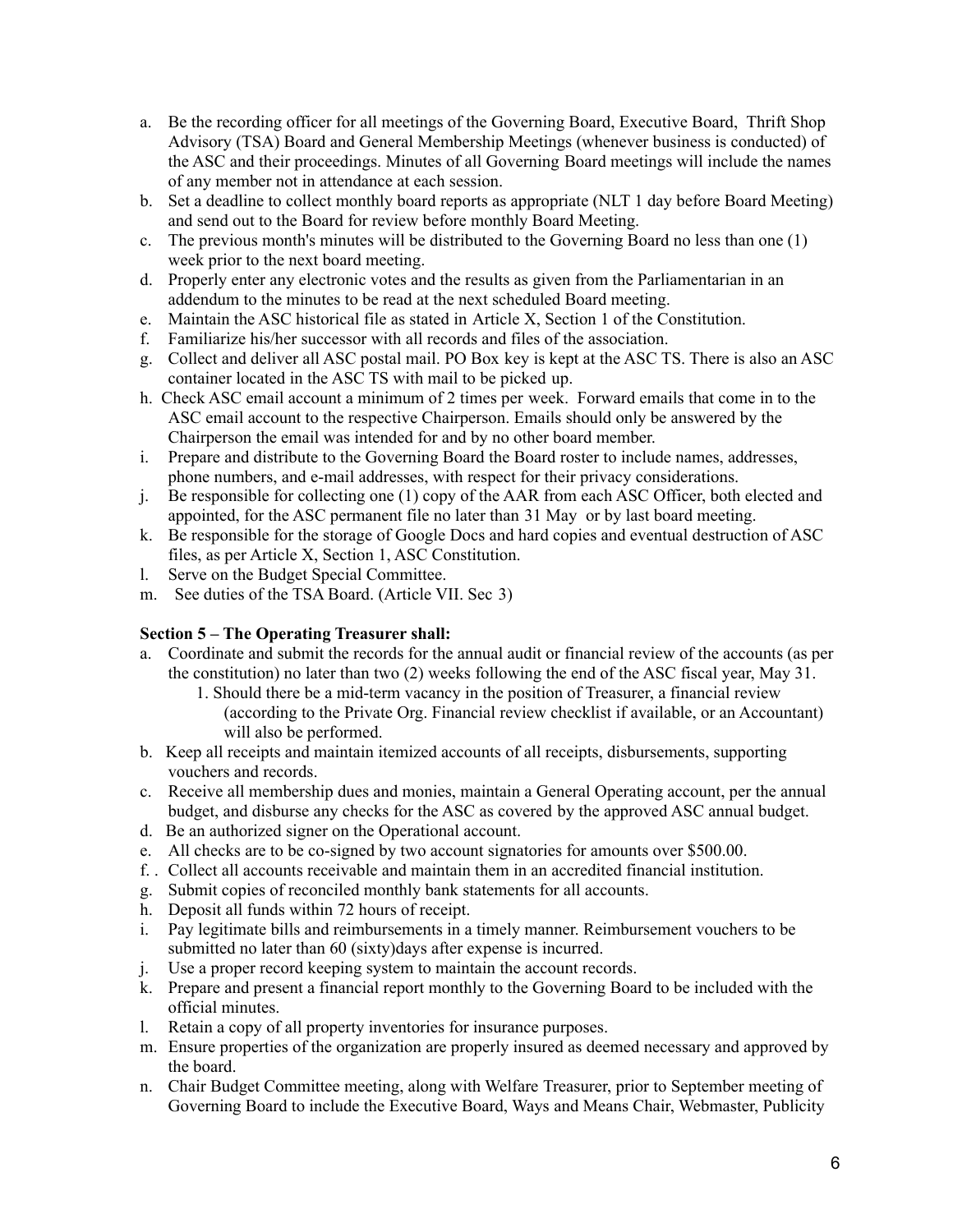- a. Be the recording officer for all meetings of the Governing Board, Executive Board, Thrift Shop Advisory (TSA) Board and General Membership Meetings (whenever business is conducted) of the ASC and their proceedings. Minutes of all Governing Board meetings will include the names of any member not in attendance at each session.
- b. Set a deadline to collect monthly board reports as appropriate (NLT 1 day before Board Meeting) and send out to the Board for review before monthly Board Meeting.
- c. The previous month's minutes will be distributed to the Governing Board no less than one (1) week prior to the next board meeting.
- d. Properly enter any electronic votes and the results as given from the Parliamentarian in an addendum to the minutes to be read at the next scheduled Board meeting.
- e. Maintain the ASC historical file as stated in Article X, Section 1 of the Constitution.
- f. Familiarize his/her successor with all records and files of the association.
- g. Collect and deliver all ASC postal mail. PO Box key is kept at the ASC TS. There is also an ASC container located in the ASC TS with mail to be picked up.
- h. Check ASC email account a minimum of 2 times per week. Forward emails that come in to the ASC email account to the respective Chairperson. Emails should only be answered by the Chairperson the email was intended for and by no other board member.
- i. Prepare and distribute to the Governing Board the Board roster to include names, addresses, phone numbers, and e-mail addresses, with respect for their privacy considerations.
- j. Be responsible for collecting one (1) copy of the AAR from each ASC Officer, both elected and appointed, for the ASC permanent file no later than 31 May or by last board meeting.
- k. Be responsible for the storage of Google Docs and hard copies and eventual destruction of ASC files, as per Article X, Section 1, ASC Constitution.
- l. Serve on the Budget Special Committee.
- m. See duties of the TSA Board. (Article VII. Sec 3)

# **Section 5 – The Operating Treasurer shall:**

- a. Coordinate and submit the records for the annual audit or financial review of the accounts (as per the constitution) no later than two (2) weeks following the end of the ASC fiscal year, May 31.
	- 1. Should there be a mid-term vacancy in the position of Treasurer, a financial review (according to the Private Org. Financial review checklist if available, or an Accountant) will also be performed.
- b. Keep all receipts and maintain itemized accounts of all receipts, disbursements, supporting vouchers and records.
- c. Receive all membership dues and monies, maintain a General Operating account, per the annual budget, and disburse any checks for the ASC as covered by the approved ASC annual budget.
- d. Be an authorized signer on the Operational account.
- e. All checks are to be co-signed by two account signatories for amounts over \$500.00.
- f. . Collect all accounts receivable and maintain them in an accredited financial institution.
- g. Submit copies of reconciled monthly bank statements for all accounts.
- h. Deposit all funds within 72 hours of receipt.
- i. Pay legitimate bills and reimbursements in a timely manner. Reimbursement vouchers to be submitted no later than 60 (sixty)days after expense is incurred.
- j. Use a proper record keeping system to maintain the account records.
- k. Prepare and present a financial report monthly to the Governing Board to be included with the official minutes.
- l. Retain a copy of all property inventories for insurance purposes.
- m. Ensure properties of the organization are properly insured as deemed necessary and approved by the board.
- n. Chair Budget Committee meeting, along with Welfare Treasurer, prior to September meeting of Governing Board to include the Executive Board, Ways and Means Chair, Webmaster, Publicity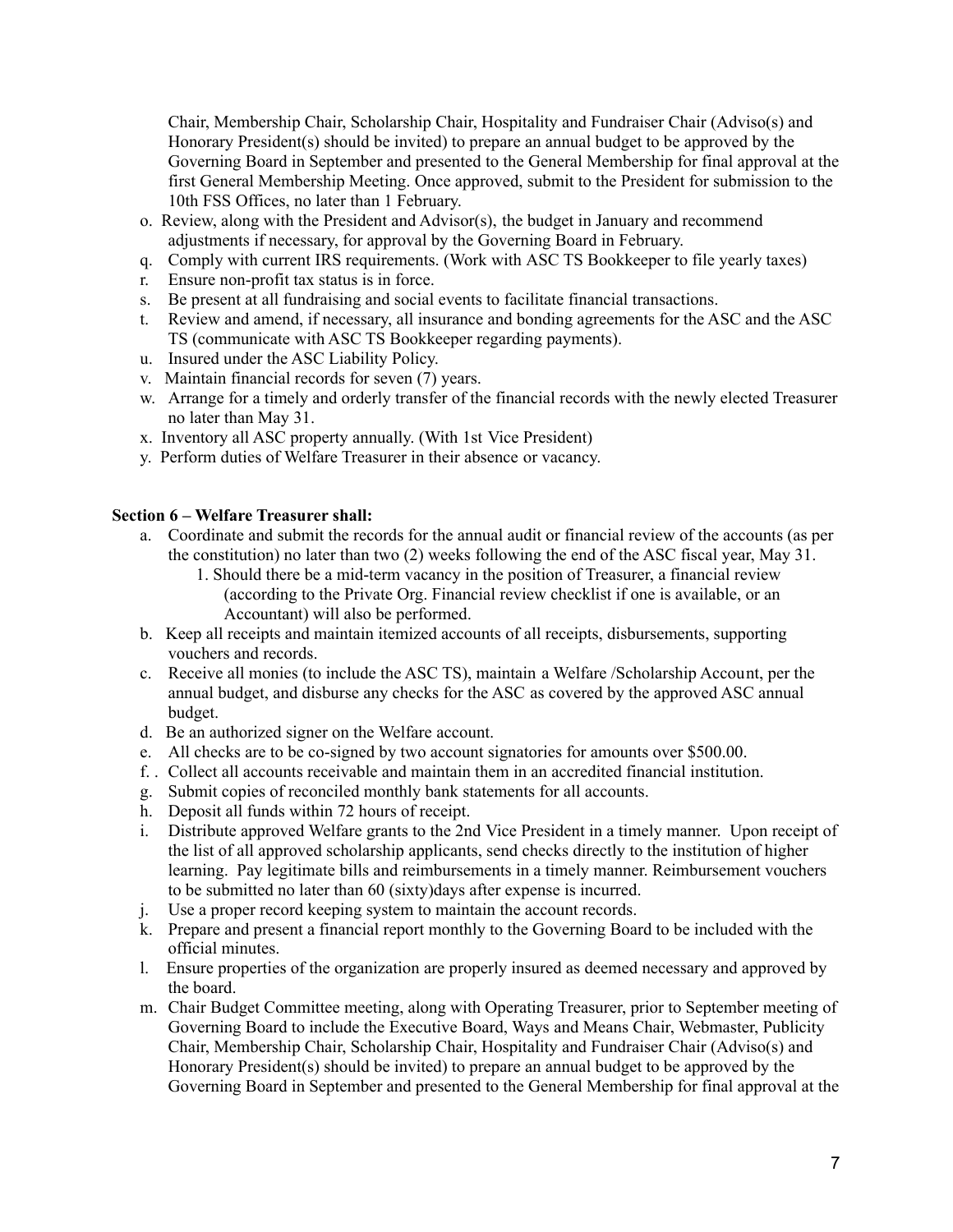Chair, Membership Chair, Scholarship Chair, Hospitality and Fundraiser Chair (Adviso(s) and Honorary President(s) should be invited) to prepare an annual budget to be approved by the Governing Board in September and presented to the General Membership for final approval at the first General Membership Meeting. Once approved, submit to the President for submission to the 10th FSS Offices, no later than 1 February.

- o. Review, along with the President and Advisor(s), the budget in January and recommend adjustments if necessary, for approval by the Governing Board in February.
- q. Comply with current IRS requirements. (Work with ASC TS Bookkeeper to file yearly taxes)
- r. Ensure non-profit tax status is in force.
- s. Be present at all fundraising and social events to facilitate financial transactions.
- t. Review and amend, if necessary, all insurance and bonding agreements for the ASC and the ASC TS (communicate with ASC TS Bookkeeper regarding payments).
- u. Insured under the ASC Liability Policy.
- v. Maintain financial records for seven (7) years.
- w. Arrange for a timely and orderly transfer of the financial records with the newly elected Treasurer no later than May 31.
- x. Inventory all ASC property annually. (With 1st Vice President)
- y. Perform duties of Welfare Treasurer in their absence or vacancy.

# **Section 6 – Welfare Treasurer shall:**

- a. Coordinate and submit the records for the annual audit or financial review of the accounts (as per the constitution) no later than two (2) weeks following the end of the ASC fiscal year, May 31.
	- 1. Should there be a mid-term vacancy in the position of Treasurer, a financial review (according to the Private Org. Financial review checklist if one is available, or an Accountant) will also be performed.
- b. Keep all receipts and maintain itemized accounts of all receipts, disbursements, supporting vouchers and records.
- c. Receive all monies (to include the ASC TS), maintain a Welfare /Scholarship Account, per the annual budget, and disburse any checks for the ASC as covered by the approved ASC annual budget.
- d. Be an authorized signer on the Welfare account.
- e. All checks are to be co-signed by two account signatories for amounts over \$500.00.
- f. . Collect all accounts receivable and maintain them in an accredited financial institution.
- g. Submit copies of reconciled monthly bank statements for all accounts.
- h. Deposit all funds within 72 hours of receipt.
- i. Distribute approved Welfare grants to the 2nd Vice President in a timely manner. Upon receipt of the list of all approved scholarship applicants, send checks directly to the institution of higher learning. Pay legitimate bills and reimbursements in a timely manner. Reimbursement vouchers to be submitted no later than 60 (sixty)days after expense is incurred.
- j. Use a proper record keeping system to maintain the account records.
- k. Prepare and present a financial report monthly to the Governing Board to be included with the official minutes.
- l. Ensure properties of the organization are properly insured as deemed necessary and approved by the board.
- m. Chair Budget Committee meeting, along with Operating Treasurer, prior to September meeting of Governing Board to include the Executive Board, Ways and Means Chair, Webmaster, Publicity Chair, Membership Chair, Scholarship Chair, Hospitality and Fundraiser Chair (Adviso(s) and Honorary President(s) should be invited) to prepare an annual budget to be approved by the Governing Board in September and presented to the General Membership for final approval at the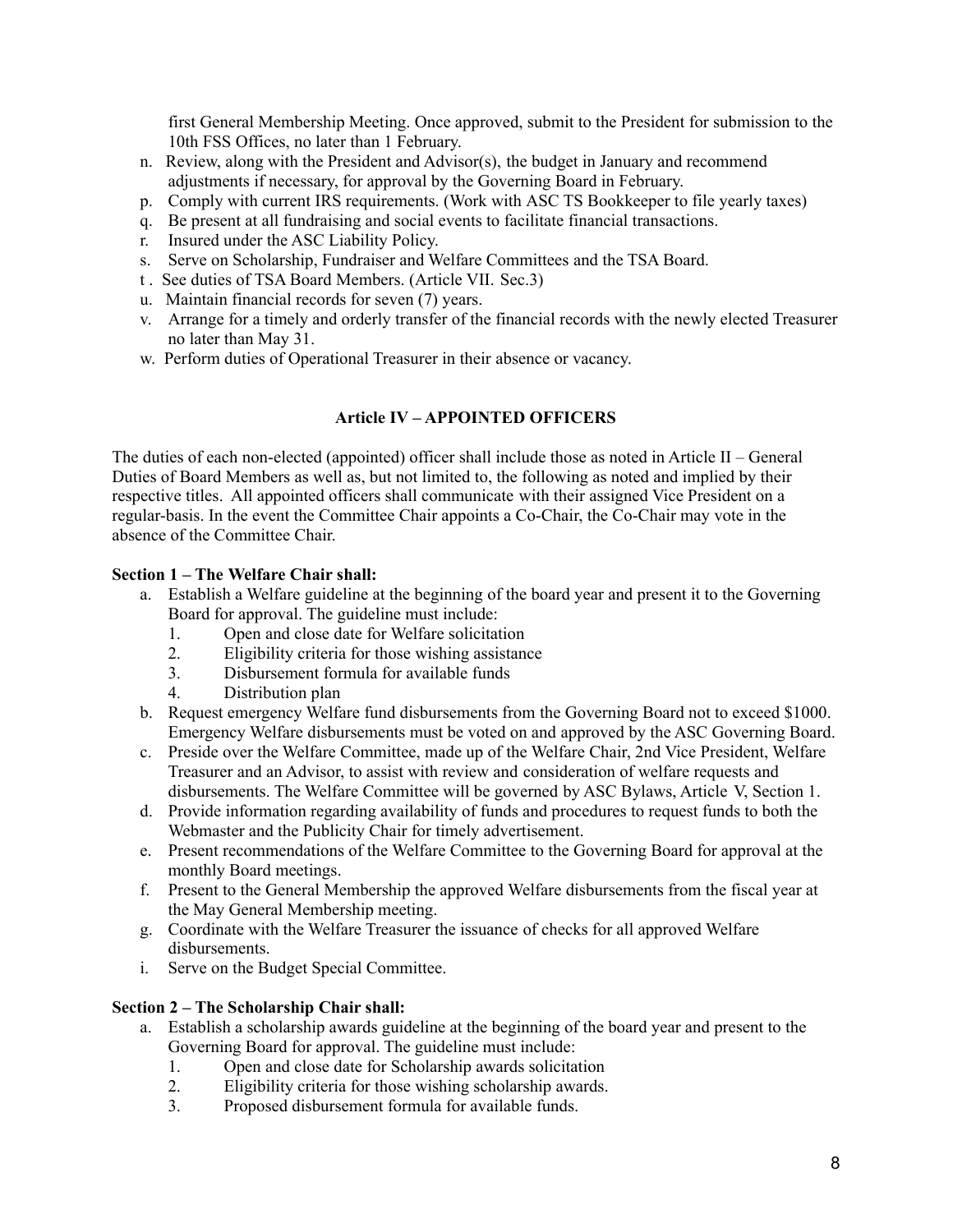first General Membership Meeting. Once approved, submit to the President for submission to the 10th FSS Offices, no later than 1 February.

- n. Review, along with the President and Advisor(s), the budget in January and recommend adjustments if necessary, for approval by the Governing Board in February.
- p. Comply with current IRS requirements. (Work with ASC TS Bookkeeper to file yearly taxes)
- q. Be present at all fundraising and social events to facilitate financial transactions.
- r. Insured under the ASC Liability Policy.
- s. Serve on Scholarship, Fundraiser and Welfare Committees and the TSA Board.
- t . See duties of TSA Board Members. (Article VII. Sec.3)
- u. Maintain financial records for seven (7) years.
- v. Arrange for a timely and orderly transfer of the financial records with the newly elected Treasurer no later than May 31.
- w. Perform duties of Operational Treasurer in their absence or vacancy.

### **Article IV – APPOINTED OFFICERS**

The duties of each non-elected (appointed) officer shall include those as noted in Article II – General Duties of Board Members as well as, but not limited to, the following as noted and implied by their respective titles. All appointed officers shall communicate with their assigned Vice President on a regular-basis. In the event the Committee Chair appoints a Co-Chair, the Co-Chair may vote in the absence of the Committee Chair.

#### **Section 1 – The Welfare Chair shall:**

- a. Establish a Welfare guideline at the beginning of the board year and present it to the Governing Board for approval. The guideline must include:
	- 1. Open and close date for Welfare solicitation
	- 2. Eligibility criteria for those wishing assistance
	- 3. Disbursement formula for available funds
	- 4. Distribution plan
- b. Request emergency Welfare fund disbursements from the Governing Board not to exceed \$1000. Emergency Welfare disbursements must be voted on and approved by the ASC Governing Board.
- c. Preside over the Welfare Committee, made up of the Welfare Chair, 2nd Vice President, Welfare Treasurer and an Advisor, to assist with review and consideration of welfare requests and disbursements. The Welfare Committee will be governed by ASC Bylaws, Article V, Section 1.
- d. Provide information regarding availability of funds and procedures to request funds to both the Webmaster and the Publicity Chair for timely advertisement.
- e. Present recommendations of the Welfare Committee to the Governing Board for approval at the monthly Board meetings.
- f. Present to the General Membership the approved Welfare disbursements from the fiscal year at the May General Membership meeting.
- g. Coordinate with the Welfare Treasurer the issuance of checks for all approved Welfare disbursements.
- i. Serve on the Budget Special Committee.

#### **Section 2 – The Scholarship Chair shall:**

- a. Establish a scholarship awards guideline at the beginning of the board year and present to the Governing Board for approval. The guideline must include:
	- 1. Open and close date for Scholarship awards solicitation<br>2. Eligibility criteria for those wishing scholarship awards.
	- Eligibility criteria for those wishing scholarship awards.
	- 3. Proposed disbursement formula for available funds.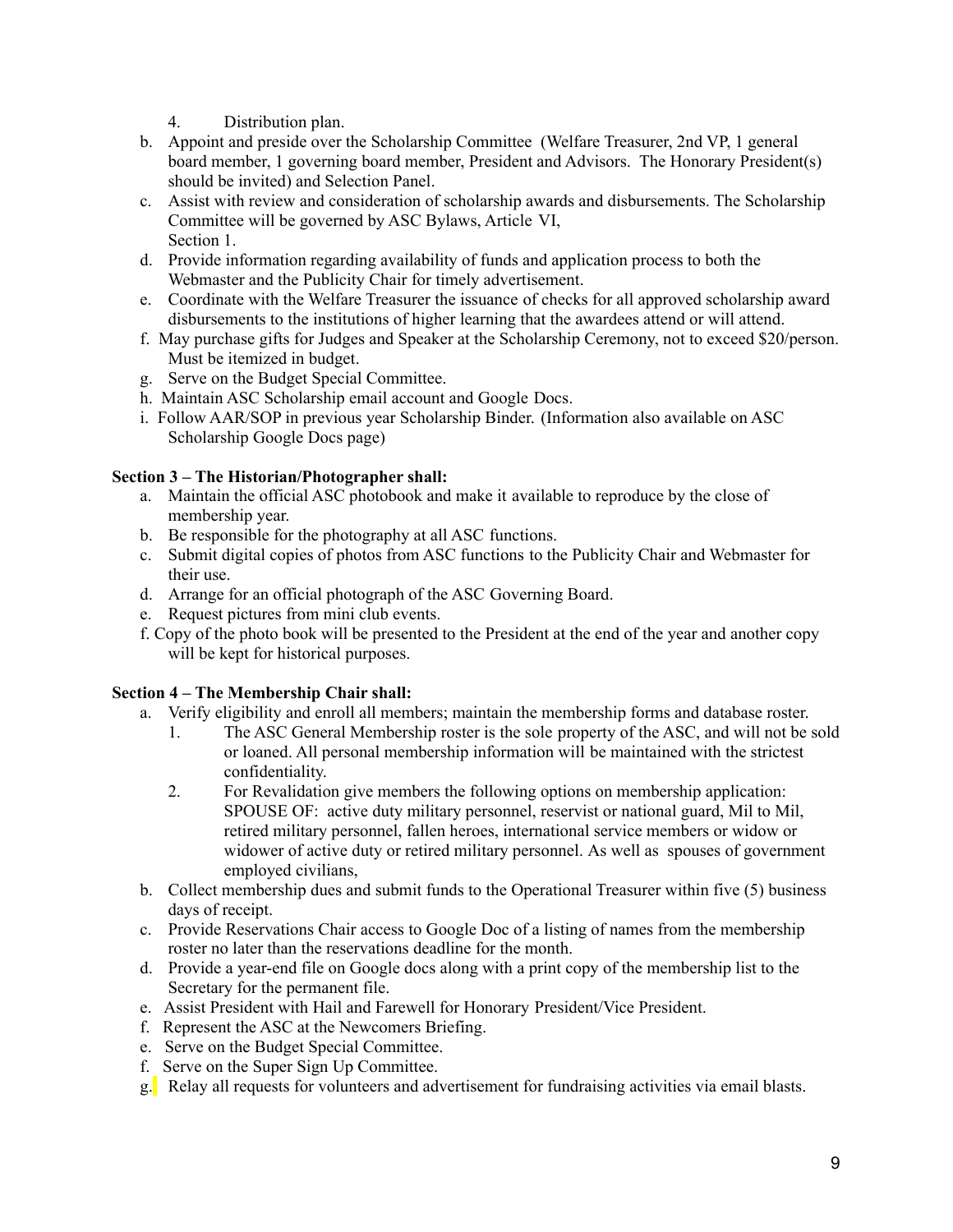- 4. Distribution plan.
- b. Appoint and preside over the Scholarship Committee (Welfare Treasurer, 2nd VP, 1 general board member, 1 governing board member, President and Advisors. The Honorary President(s) should be invited) and Selection Panel.
- c. Assist with review and consideration of scholarship awards and disbursements. The Scholarship Committee will be governed by ASC Bylaws, Article VI, Section 1.
- d. Provide information regarding availability of funds and application process to both the Webmaster and the Publicity Chair for timely advertisement.
- e. Coordinate with the Welfare Treasurer the issuance of checks for all approved scholarship award disbursements to the institutions of higher learning that the awardees attend or will attend.
- f. May purchase gifts for Judges and Speaker at the Scholarship Ceremony, not to exceed \$20/person. Must be itemized in budget.
- g. Serve on the Budget Special Committee.
- h. Maintain ASC Scholarship email account and Google Docs.
- i. Follow AAR/SOP in previous year Scholarship Binder. (Information also available on ASC Scholarship Google Docs page)

# **Section 3 – The Historian/Photographer shall:**

- a. Maintain the official ASC photobook and make it available to reproduce by the close of membership year.
- b. Be responsible for the photography at all ASC functions.
- c. Submit digital copies of photos from ASC functions to the Publicity Chair and Webmaster for their use.
- d. Arrange for an official photograph of the ASC Governing Board.
- e. Request pictures from mini club events.
- f. Copy of the photo book will be presented to the President at the end of the year and another copy will be kept for historical purposes.

# **Section 4 – The Membership Chair shall:**

- a. Verify eligibility and enroll all members; maintain the membership forms and database roster.
	- 1. The ASC General Membership roster is the sole property of the ASC, and will not be sold or loaned. All personal membership information will be maintained with the strictest confidentiality.
	- 2. For Revalidation give members the following options on membership application: SPOUSE OF: active duty military personnel, reservist or national guard, Mil to Mil, retired military personnel, fallen heroes, international service members or widow or widower of active duty or retired military personnel. As well as spouses of government employed civilians,
- b. Collect membership dues and submit funds to the Operational Treasurer within five (5) business days of receipt.
- c. Provide Reservations Chair access to Google Doc of a listing of names from the membership roster no later than the reservations deadline for the month.
- d. Provide a year-end file on Google docs along with a print copy of the membership list to the Secretary for the permanent file.
- e. Assist President with Hail and Farewell for Honorary President/Vice President.
- f. Represent the ASC at the Newcomers Briefing.
- e. Serve on the Budget Special Committee.
- f. Serve on the Super Sign Up Committee.
- g. Relay all requests for volunteers and advertisement for fundraising activities via email blasts.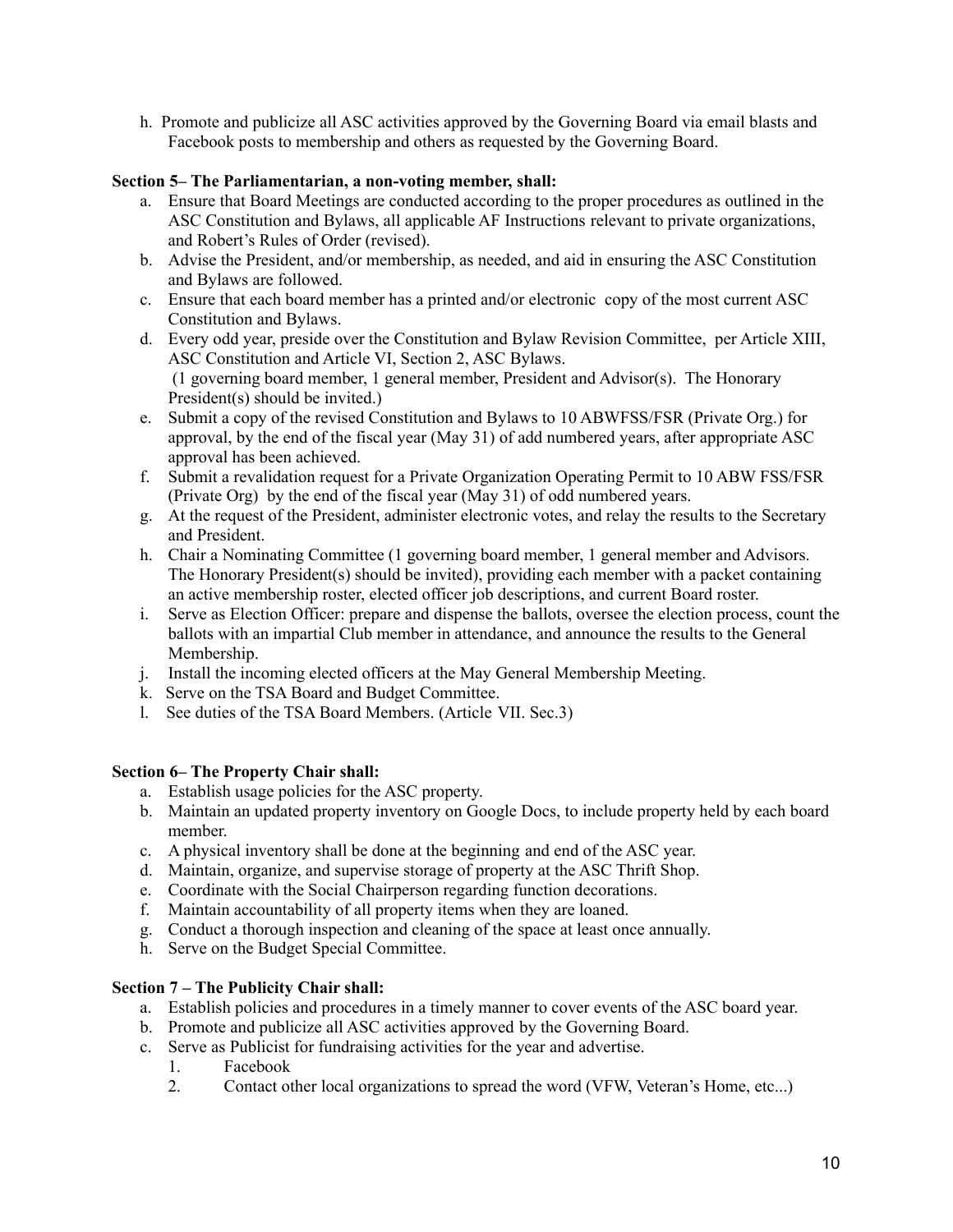h. Promote and publicize all ASC activities approved by the Governing Board via email blasts and Facebook posts to membership and others as requested by the Governing Board.

# **Section 5– The Parliamentarian, a non-voting member, shall:**

- a. Ensure that Board Meetings are conducted according to the proper procedures as outlined in the ASC Constitution and Bylaws, all applicable AF Instructions relevant to private organizations, and Robert's Rules of Order (revised).
- b. Advise the President, and/or membership, as needed, and aid in ensuring the ASC Constitution and Bylaws are followed.
- c. Ensure that each board member has a printed and/or electronic copy of the most current ASC Constitution and Bylaws.
- d. Every odd year, preside over the Constitution and Bylaw Revision Committee, per Article XIII, ASC Constitution and Article VI, Section 2, ASC Bylaws. (1 governing board member, 1 general member, President and Advisor(s). The Honorary President(s) should be invited.)
- e. Submit a copy of the revised Constitution and Bylaws to 10 ABWFSS/FSR (Private Org.) for approval, by the end of the fiscal year (May 31) of add numbered years, after appropriate ASC approval has been achieved.
- f. Submit a revalidation request for a Private Organization Operating Permit to 10 ABW FSS/FSR (Private Org) by the end of the fiscal year (May 31) of odd numbered years.
- g. At the request of the President, administer electronic votes, and relay the results to the Secretary and President.
- h. Chair a Nominating Committee (1 governing board member, 1 general member and Advisors. The Honorary President(s) should be invited), providing each member with a packet containing an active membership roster, elected officer job descriptions, and current Board roster.
- i. Serve as Election Officer: prepare and dispense the ballots, oversee the election process, count the ballots with an impartial Club member in attendance, and announce the results to the General Membership.
- j. Install the incoming elected officers at the May General Membership Meeting.
- k. Serve on the TSA Board and Budget Committee.
- l. See duties of the TSA Board Members. (Article VII. Sec.3)

# **Section 6– The Property Chair shall:**

- a. Establish usage policies for the ASC property.
- b. Maintain an updated property inventory on Google Docs, to include property held by each board member.
- c. A physical inventory shall be done at the beginning and end of the ASC year.
- d. Maintain, organize, and supervise storage of property at the ASC Thrift Shop.
- e. Coordinate with the Social Chairperson regarding function decorations.
- f. Maintain accountability of all property items when they are loaned.
- g. Conduct a thorough inspection and cleaning of the space at least once annually.
- h. Serve on the Budget Special Committee.

# **Section 7 – The Publicity Chair shall:**

- a. Establish policies and procedures in a timely manner to cover events of the ASC board year.
- b. Promote and publicize all ASC activities approved by the Governing Board.
- c. Serve as Publicist for fundraising activities for the year and advertise.
	- 1. Facebook<br>2. Contact of
	- 2. Contact other local organizations to spread the word (VFW, Veteran's Home, etc...)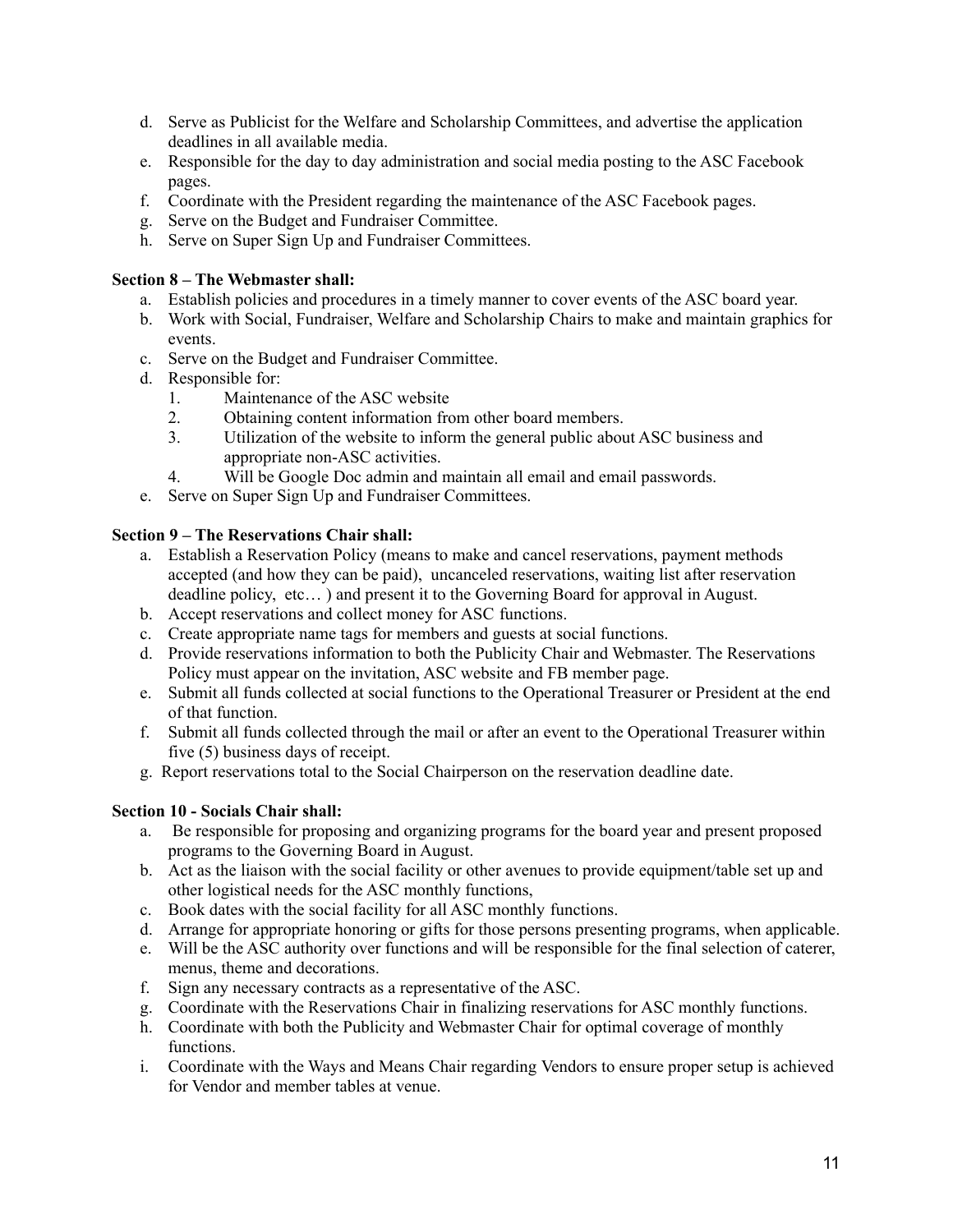- d. Serve as Publicist for the Welfare and Scholarship Committees, and advertise the application deadlines in all available media.
- e. Responsible for the day to day administration and social media posting to the ASC Facebook pages.
- f. Coordinate with the President regarding the maintenance of the ASC Facebook pages.
- g. Serve on the Budget and Fundraiser Committee.
- h. Serve on Super Sign Up and Fundraiser Committees.

#### **Section 8 – The Webmaster shall:**

- a. Establish policies and procedures in a timely manner to cover events of the ASC board year.
- b. Work with Social, Fundraiser, Welfare and Scholarship Chairs to make and maintain graphics for events.
- c. Serve on the Budget and Fundraiser Committee.
- d. Responsible for:
	- 1. Maintenance of the ASC website
	- 2. Obtaining content information from other board members.
	- 3. Utilization of the website to inform the general public about ASC business and appropriate non-ASC activities.
	- 4. Will be Google Doc admin and maintain all email and email passwords.
- e. Serve on Super Sign Up and Fundraiser Committees.

#### **Section 9 – The Reservations Chair shall:**

- a. Establish a Reservation Policy (means to make and cancel reservations, payment methods accepted (and how they can be paid), uncanceled reservations, waiting list after reservation deadline policy, etc… ) and present it to the Governing Board for approval in August.
- b. Accept reservations and collect money for ASC functions.
- c. Create appropriate name tags for members and guests at social functions.
- d. Provide reservations information to both the Publicity Chair and Webmaster. The Reservations Policy must appear on the invitation, ASC website and FB member page.
- e. Submit all funds collected at social functions to the Operational Treasurer or President at the end of that function.
- f. Submit all funds collected through the mail or after an event to the Operational Treasurer within five (5) business days of receipt.
- g. Report reservations total to the Social Chairperson on the reservation deadline date.

#### **Section 10 - Socials Chair shall:**

- a. Be responsible for proposing and organizing programs for the board year and present proposed programs to the Governing Board in August.
- b. Act as the liaison with the social facility or other avenues to provide equipment/table set up and other logistical needs for the ASC monthly functions,
- c. Book dates with the social facility for all ASC monthly functions.
- d. Arrange for appropriate honoring or gifts for those persons presenting programs, when applicable.
- e. Will be the ASC authority over functions and will be responsible for the final selection of caterer, menus, theme and decorations.
- f. Sign any necessary contracts as a representative of the ASC.
- g. Coordinate with the Reservations Chair in finalizing reservations for ASC monthly functions.
- h. Coordinate with both the Publicity and Webmaster Chair for optimal coverage of monthly functions.
- i. Coordinate with the Ways and Means Chair regarding Vendors to ensure proper setup is achieved for Vendor and member tables at venue.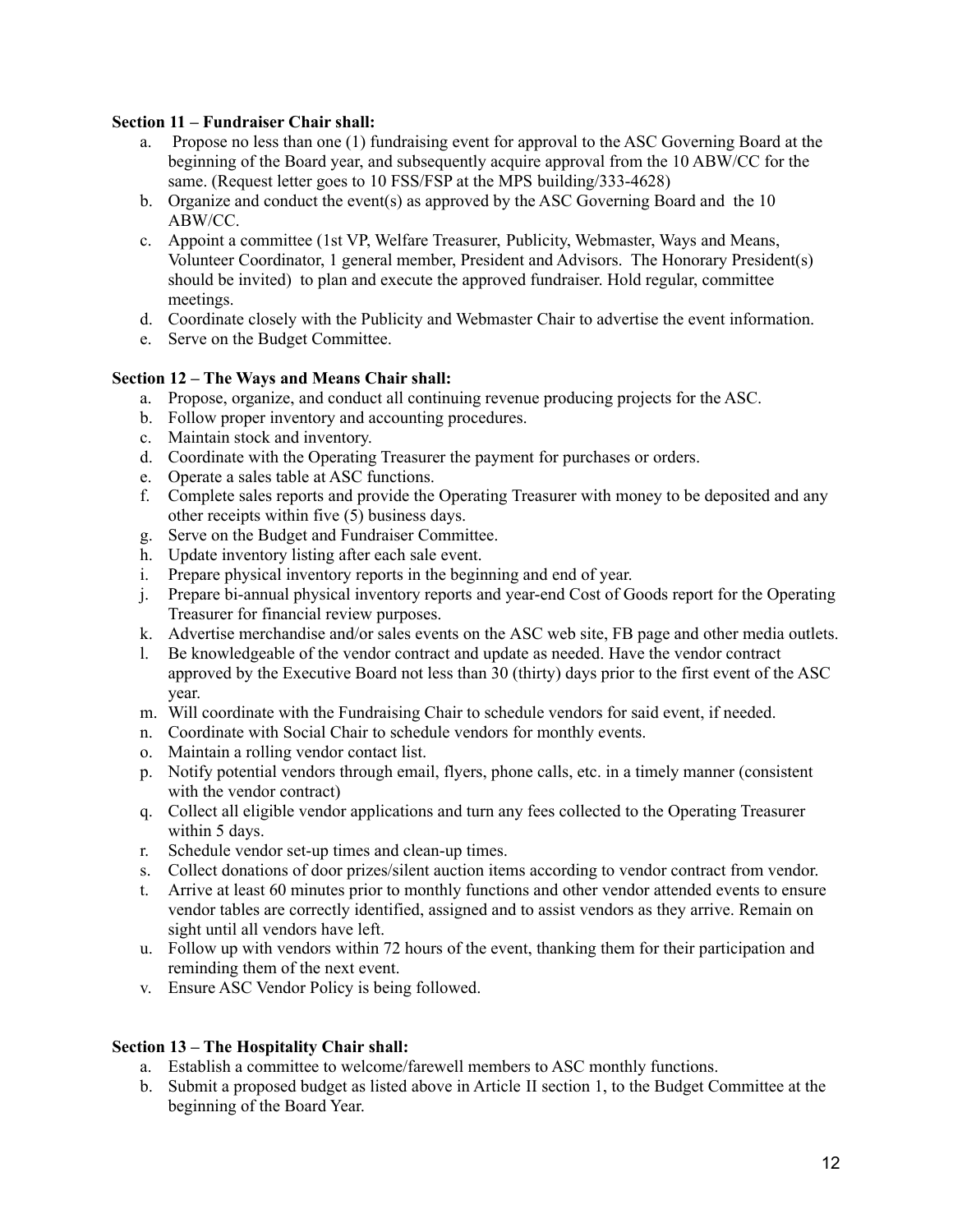#### **Section 11 – Fundraiser Chair shall:**

- a. Propose no less than one (1) fundraising event for approval to the ASC Governing Board at the beginning of the Board year, and subsequently acquire approval from the 10 ABW/CC for the same. (Request letter goes to 10 FSS/FSP at the MPS building/333-4628)
- b. Organize and conduct the event(s) as approved by the ASC Governing Board and the 10 ABW/CC.
- c. Appoint a committee (1st VP, Welfare Treasurer, Publicity, Webmaster, Ways and Means, Volunteer Coordinator, 1 general member, President and Advisors. The Honorary President(s) should be invited) to plan and execute the approved fundraiser. Hold regular, committee meetings.
- d. Coordinate closely with the Publicity and Webmaster Chair to advertise the event information.
- e. Serve on the Budget Committee.

### **Section 12 – The Ways and Means Chair shall:**

- a. Propose, organize, and conduct all continuing revenue producing projects for the ASC.
- b. Follow proper inventory and accounting procedures.
- c. Maintain stock and inventory.
- d. Coordinate with the Operating Treasurer the payment for purchases or orders.
- e. Operate a sales table at ASC functions.
- f. Complete sales reports and provide the Operating Treasurer with money to be deposited and any other receipts within five (5) business days.
- g. Serve on the Budget and Fundraiser Committee.
- h. Update inventory listing after each sale event.
- i. Prepare physical inventory reports in the beginning and end of year.
- j. Prepare bi-annual physical inventory reports and year-end Cost of Goods report for the Operating Treasurer for financial review purposes.
- k. Advertise merchandise and/or sales events on the ASC web site, FB page and other media outlets.
- l. Be knowledgeable of the vendor contract and update as needed. Have the vendor contract approved by the Executive Board not less than 30 (thirty) days prior to the first event of the ASC year.
- m. Will coordinate with the Fundraising Chair to schedule vendors for said event, if needed.
- n. Coordinate with Social Chair to schedule vendors for monthly events.
- o. Maintain a rolling vendor contact list.
- p. Notify potential vendors through email, flyers, phone calls, etc. in a timely manner (consistent with the vendor contract)
- q. Collect all eligible vendor applications and turn any fees collected to the Operating Treasurer within 5 days.
- r. Schedule vendor set-up times and clean-up times.
- s. Collect donations of door prizes/silent auction items according to vendor contract from vendor.
- t. Arrive at least 60 minutes prior to monthly functions and other vendor attended events to ensure vendor tables are correctly identified, assigned and to assist vendors as they arrive. Remain on sight until all vendors have left.
- u. Follow up with vendors within 72 hours of the event, thanking them for their participation and reminding them of the next event.
- v. Ensure ASC Vendor Policy is being followed.

# **Section 13 – The Hospitality Chair shall:**

- a. Establish a committee to welcome/farewell members to ASC monthly functions.
- b. Submit a proposed budget as listed above in Article II section 1, to the Budget Committee at the beginning of the Board Year.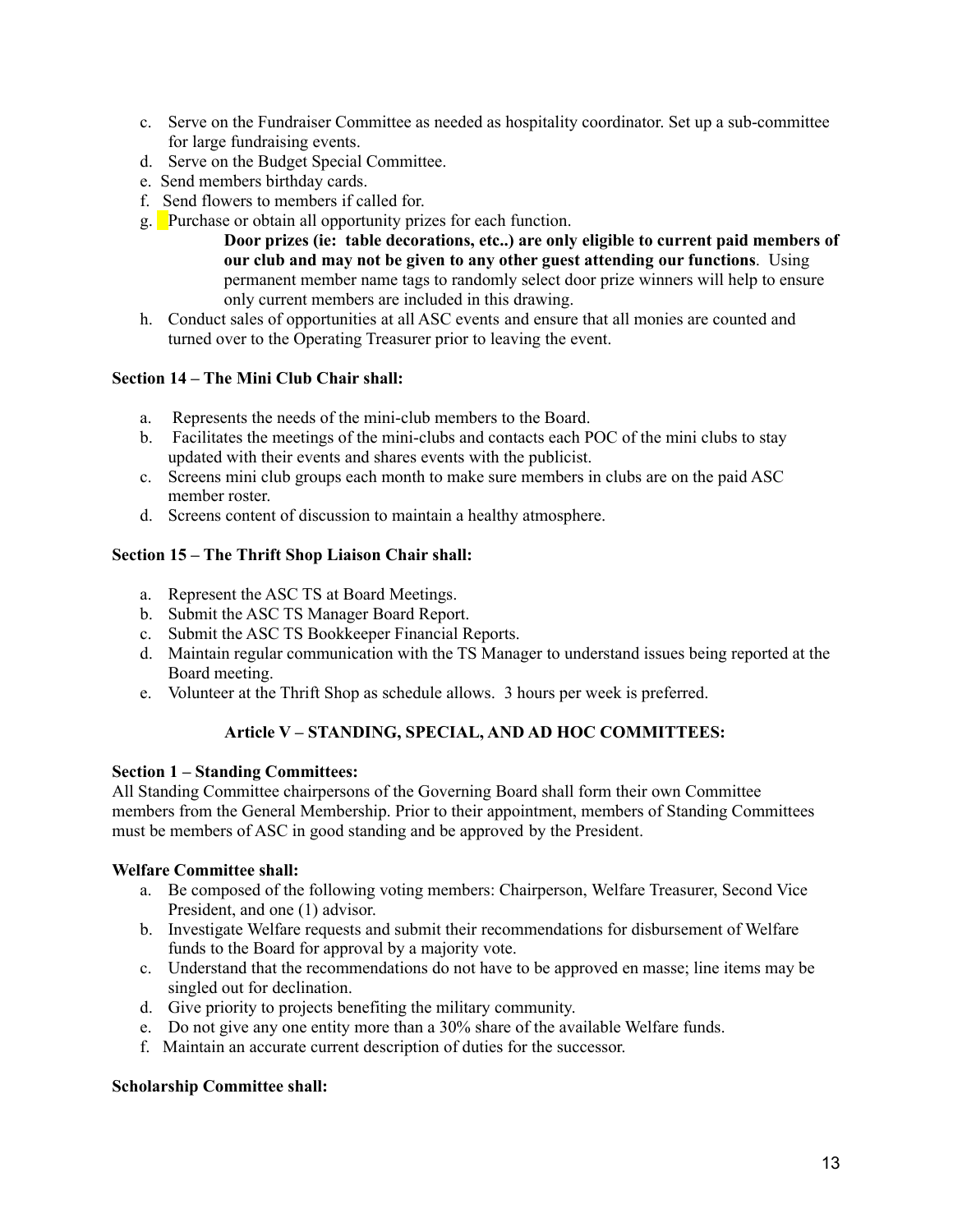- c. Serve on the Fundraiser Committee as needed as hospitality coordinator. Set up a sub-committee for large fundraising events.
- d. Serve on the Budget Special Committee.
- e. Send members birthday cards.
- f. Send flowers to members if called for.
- g. Purchase or obtain all opportunity prizes for each function.
	- **Door prizes (ie: table decorations, etc..) are only eligible to current paid members of our club and may not be given to any other guest attending our functions**. Using permanent member name tags to randomly select door prize winners will help to ensure only current members are included in this drawing.
- h. Conduct sales of opportunities at all ASC events and ensure that all monies are counted and turned over to the Operating Treasurer prior to leaving the event.

### **Section 14 – The Mini Club Chair shall:**

- a. Represents the needs of the mini-club members to the Board.
- b. Facilitates the meetings of the mini-clubs and contacts each POC of the mini clubs to stay updated with their events and shares events with the publicist.
- c. Screens mini club groups each month to make sure members in clubs are on the paid ASC member roster.
- d. Screens content of discussion to maintain a healthy atmosphere.

# **Section 15 – The Thrift Shop Liaison Chair shall:**

- a. Represent the ASC TS at Board Meetings.
- b. Submit the ASC TS Manager Board Report.
- c. Submit the ASC TS Bookkeeper Financial Reports.
- d. Maintain regular communication with the TS Manager to understand issues being reported at the Board meeting.
- e. Volunteer at the Thrift Shop as schedule allows. 3 hours per week is preferred.

# **Article V – STANDING, SPECIAL, AND AD HOC COMMITTEES:**

#### **Section 1 – Standing Committees:**

All Standing Committee chairpersons of the Governing Board shall form their own Committee members from the General Membership. Prior to their appointment, members of Standing Committees must be members of ASC in good standing and be approved by the President.

# **Welfare Committee shall:**

- a. Be composed of the following voting members: Chairperson, Welfare Treasurer, Second Vice President, and one (1) advisor.
- b. Investigate Welfare requests and submit their recommendations for disbursement of Welfare funds to the Board for approval by a majority vote.
- c. Understand that the recommendations do not have to be approved en masse; line items may be singled out for declination.
- d. Give priority to projects benefiting the military community.
- e. Do not give any one entity more than a 30% share of the available Welfare funds.
- f. Maintain an accurate current description of duties for the successor.

#### **Scholarship Committee shall:**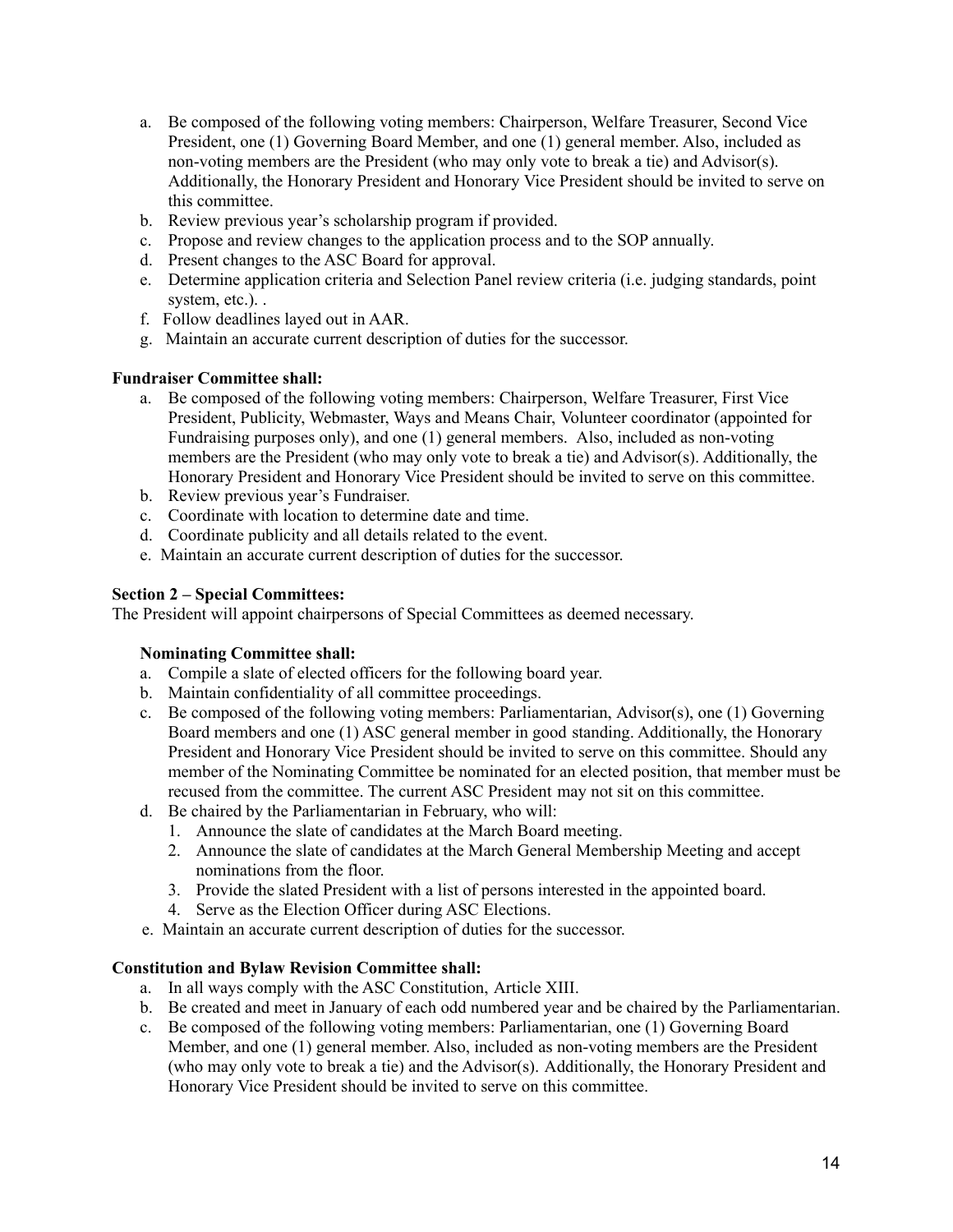- a. Be composed of the following voting members: Chairperson, Welfare Treasurer, Second Vice President, one (1) Governing Board Member, and one (1) general member. Also, included as non-voting members are the President (who may only vote to break a tie) and Advisor(s). Additionally, the Honorary President and Honorary Vice President should be invited to serve on this committee.
- b. Review previous year's scholarship program if provided.
- c. Propose and review changes to the application process and to the SOP annually.
- d. Present changes to the ASC Board for approval.
- e. Determine application criteria and Selection Panel review criteria (i.e. judging standards, point system, etc.). .
- f. Follow deadlines layed out in AAR.
- g. Maintain an accurate current description of duties for the successor.

### **Fundraiser Committee shall:**

- a. Be composed of the following voting members: Chairperson, Welfare Treasurer, First Vice President, Publicity, Webmaster, Ways and Means Chair, Volunteer coordinator (appointed for Fundraising purposes only), and one (1) general members. Also, included as non-voting members are the President (who may only vote to break a tie) and Advisor(s). Additionally, the Honorary President and Honorary Vice President should be invited to serve on this committee.
- b. Review previous year's Fundraiser.
- c. Coordinate with location to determine date and time.
- d. Coordinate publicity and all details related to the event.
- e. Maintain an accurate current description of duties for the successor.

#### **Section 2 – Special Committees:**

The President will appoint chairpersons of Special Committees as deemed necessary.

#### **Nominating Committee shall:**

- a. Compile a slate of elected officers for the following board year.
- b. Maintain confidentiality of all committee proceedings.
- c. Be composed of the following voting members: Parliamentarian, Advisor(s), one  $(1)$  Governing Board members and one (1) ASC general member in good standing. Additionally, the Honorary President and Honorary Vice President should be invited to serve on this committee. Should any member of the Nominating Committee be nominated for an elected position, that member must be recused from the committee. The current ASC President may not sit on this committee.
- d. Be chaired by the Parliamentarian in February, who will:
	- 1. Announce the slate of candidates at the March Board meeting.
	- 2. Announce the slate of candidates at the March General Membership Meeting and accept nominations from the floor.
	- 3. Provide the slated President with a list of persons interested in the appointed board.
	- 4. Serve as the Election Officer during ASC Elections.
- e. Maintain an accurate current description of duties for the successor.

#### **Constitution and Bylaw Revision Committee shall:**

- a. In all ways comply with the ASC Constitution, Article XIII.
- b. Be created and meet in January of each odd numbered year and be chaired by the Parliamentarian.
- c. Be composed of the following voting members: Parliamentarian, one (1) Governing Board Member, and one (1) general member. Also, included as non-voting members are the President (who may only vote to break a tie) and the Advisor(s). Additionally, the Honorary President and Honorary Vice President should be invited to serve on this committee.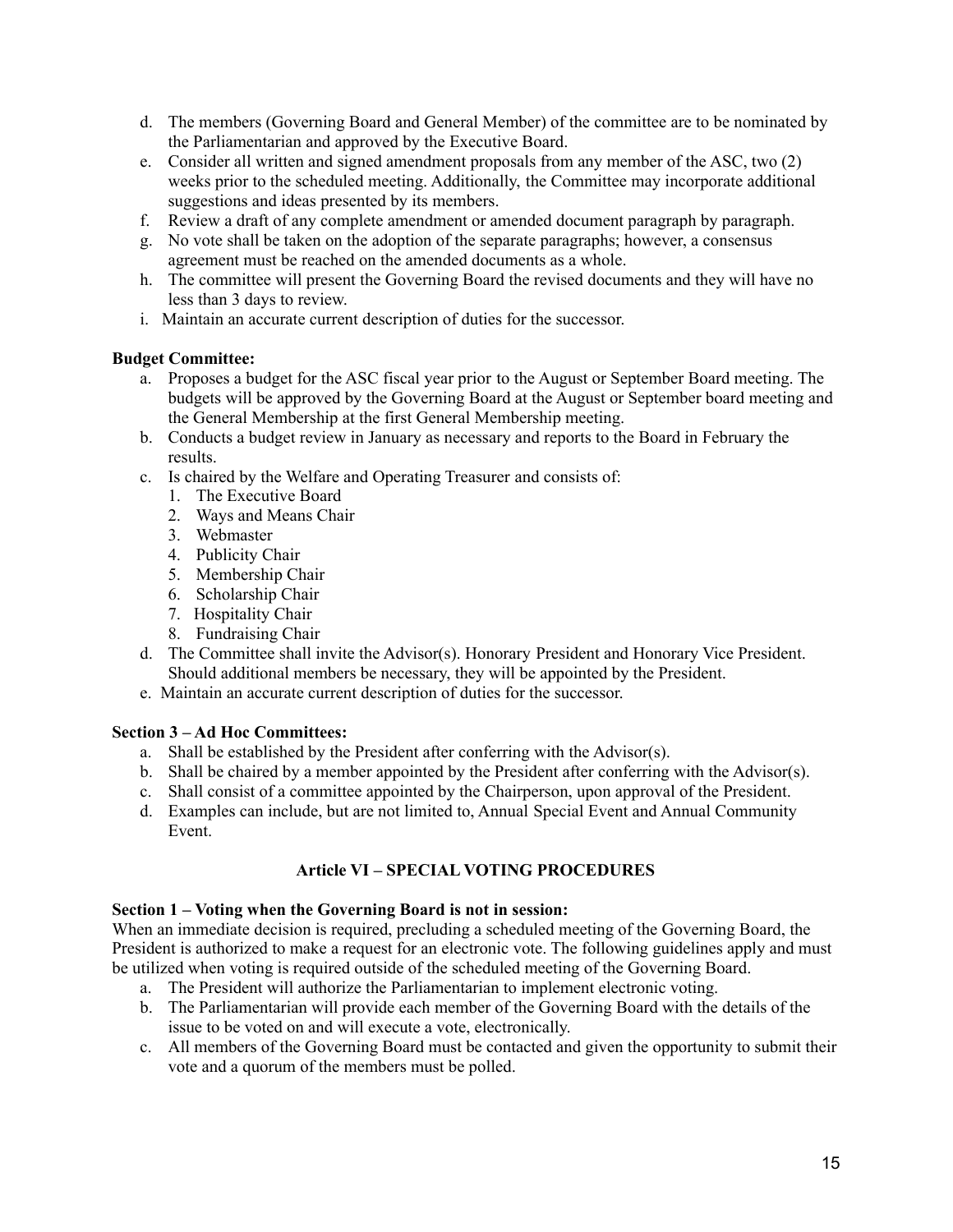- d. The members (Governing Board and General Member) of the committee are to be nominated by the Parliamentarian and approved by the Executive Board.
- e. Consider all written and signed amendment proposals from any member of the ASC, two (2) weeks prior to the scheduled meeting. Additionally, the Committee may incorporate additional suggestions and ideas presented by its members.
- f. Review a draft of any complete amendment or amended document paragraph by paragraph.
- g. No vote shall be taken on the adoption of the separate paragraphs; however, a consensus agreement must be reached on the amended documents as a whole.
- h. The committee will present the Governing Board the revised documents and they will have no less than 3 days to review.
- i. Maintain an accurate current description of duties for the successor.

### **Budget Committee:**

- a. Proposes a budget for the ASC fiscal year prior to the August or September Board meeting. The budgets will be approved by the Governing Board at the August or September board meeting and the General Membership at the first General Membership meeting.
- b. Conducts a budget review in January as necessary and reports to the Board in February the results.
- c. Is chaired by the Welfare and Operating Treasurer and consists of:
	- 1. The Executive Board
	- 2. Ways and Means Chair
	- 3. Webmaster
	- 4. Publicity Chair
	- 5. Membership Chair
	- 6. Scholarship Chair
	- 7. Hospitality Chair
	- 8. Fundraising Chair
- d. The Committee shall invite the Advisor(s). Honorary President and Honorary Vice President. Should additional members be necessary, they will be appointed by the President.
- e. Maintain an accurate current description of duties for the successor.

# **Section 3 – Ad Hoc Committees:**

- a. Shall be established by the President after conferring with the Advisor(s).
- b. Shall be chaired by a member appointed by the President after conferring with the Advisor(s).
- c. Shall consist of a committee appointed by the Chairperson, upon approval of the President.
- d. Examples can include, but are not limited to, Annual Special Event and Annual Community Event.

# **Article VI – SPECIAL VOTING PROCEDURES**

#### **Section 1 – Voting when the Governing Board is not in session:**

When an immediate decision is required, precluding a scheduled meeting of the Governing Board, the President is authorized to make a request for an electronic vote. The following guidelines apply and must be utilized when voting is required outside of the scheduled meeting of the Governing Board.

- a. The President will authorize the Parliamentarian to implement electronic voting.
- b. The Parliamentarian will provide each member of the Governing Board with the details of the issue to be voted on and will execute a vote, electronically.
- c. All members of the Governing Board must be contacted and given the opportunity to submit their vote and a quorum of the members must be polled.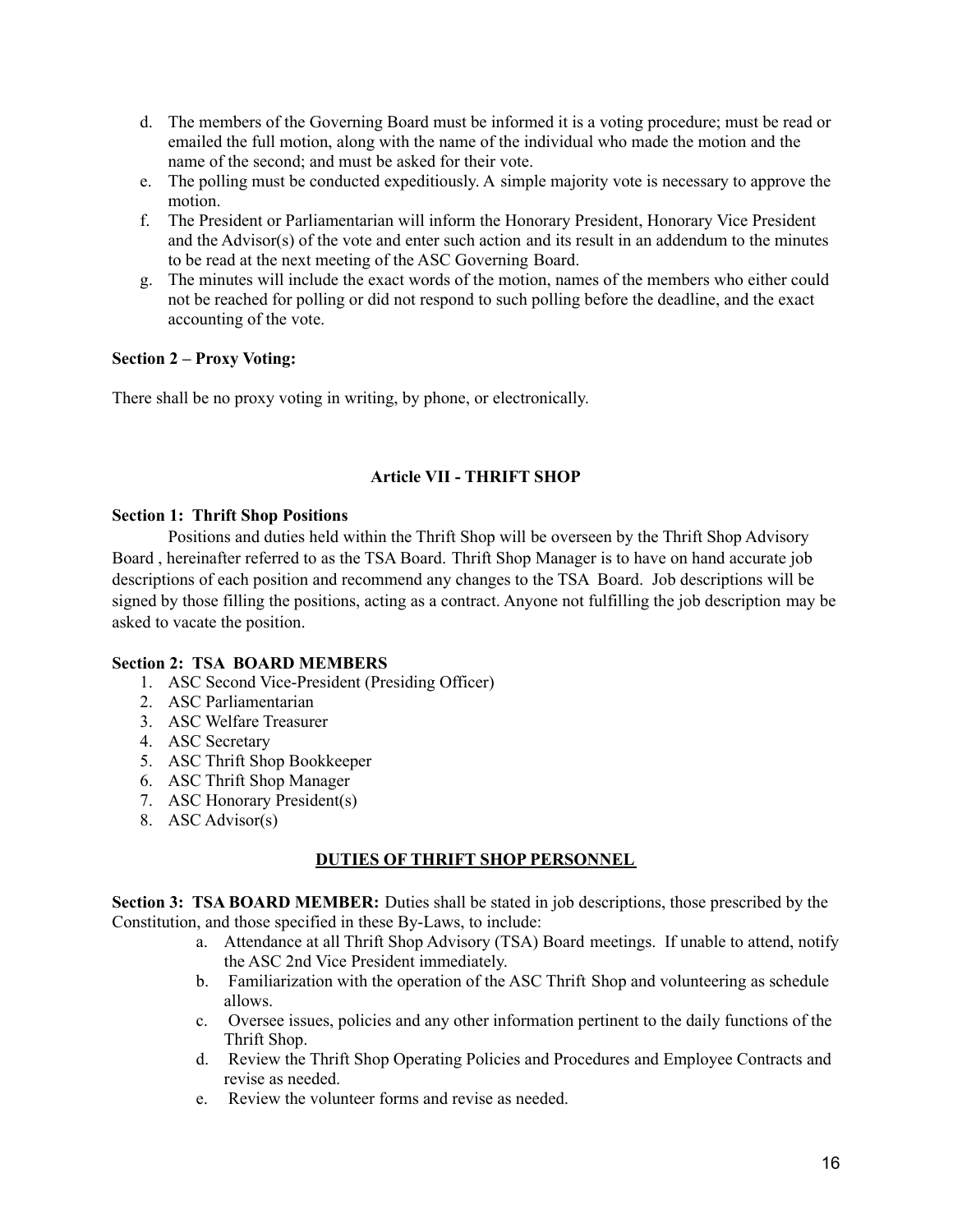- d. The members of the Governing Board must be informed it is a voting procedure; must be read or emailed the full motion, along with the name of the individual who made the motion and the name of the second; and must be asked for their vote.
- e. The polling must be conducted expeditiously. A simple majority vote is necessary to approve the motion.
- f. The President or Parliamentarian will inform the Honorary President, Honorary Vice President and the Advisor(s) of the vote and enter such action and its result in an addendum to the minutes to be read at the next meeting of the ASC Governing Board.
- g. The minutes will include the exact words of the motion, names of the members who either could not be reached for polling or did not respond to such polling before the deadline, and the exact accounting of the vote.

# **Section 2 – Proxy Voting:**

There shall be no proxy voting in writing, by phone, or electronically.

# **Article VII - THRIFT SHOP**

### **Section 1: Thrift Shop Positions**

Positions and duties held within the Thrift Shop will be overseen by the Thrift Shop Advisory Board , hereinafter referred to as the TSA Board. Thrift Shop Manager is to have on hand accurate job descriptions of each position and recommend any changes to the TSA Board. Job descriptions will be signed by those filling the positions, acting as a contract. Anyone not fulfilling the job description may be asked to vacate the position.

# **Section 2: TSA BOARD MEMBERS**

- 1. ASC Second Vice-President (Presiding Officer)
- 2. ASC Parliamentarian
- 3. ASC Welfare Treasurer
- 4. ASC Secretary
- 5. ASC Thrift Shop Bookkeeper
- 6. ASC Thrift Shop Manager
- 7. ASC Honorary President(s)
- 8. ASC Advisor(s)

# **DUTIES OF THRIFT SHOP PERSONNEL**

**Section 3: TSA BOARD MEMBER:** Duties shall be stated in job descriptions, those prescribed by the Constitution, and those specified in these By-Laws, to include:

- a. Attendance at all Thrift Shop Advisory (TSA) Board meetings. If unable to attend, notify the ASC 2nd Vice President immediately.
- b. Familiarization with the operation of the ASC Thrift Shop and volunteering as schedule allows.
- c. Oversee issues, policies and any other information pertinent to the daily functions of the Thrift Shop.
- d. Review the Thrift Shop Operating Policies and Procedures and Employee Contracts and revise as needed.
- e. Review the volunteer forms and revise as needed.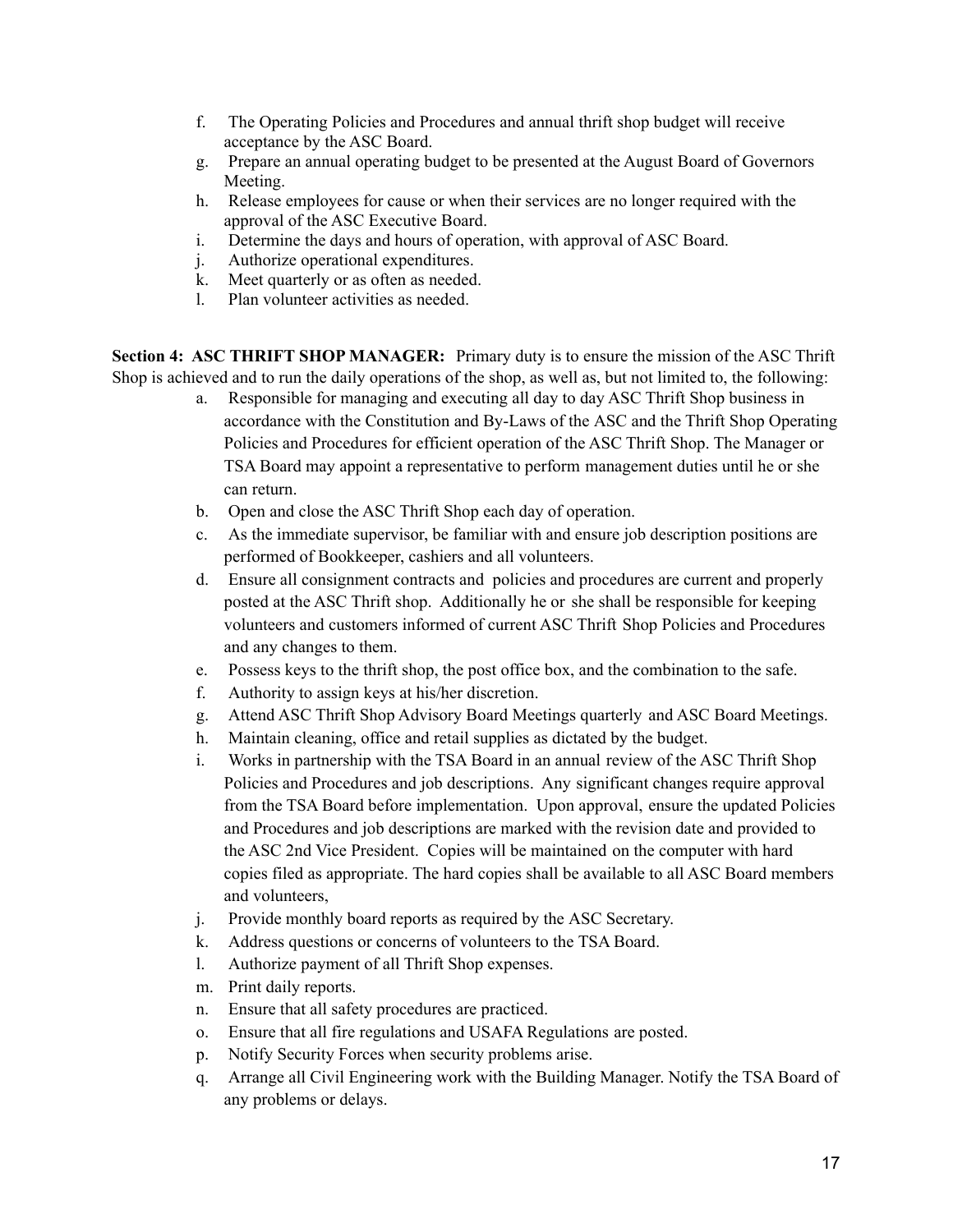- f. The Operating Policies and Procedures and annual thrift shop budget will receive acceptance by the ASC Board.
- g. Prepare an annual operating budget to be presented at the August Board of Governors Meeting.
- h. Release employees for cause or when their services are no longer required with the approval of the ASC Executive Board.
- i. Determine the days and hours of operation, with approval of ASC Board.
- j. Authorize operational expenditures.
- k. Meet quarterly or as often as needed.
- l. Plan volunteer activities as needed.

**Section 4: ASC THRIFT SHOP MANAGER:** Primary duty is to ensure the mission of the ASC Thrift Shop is achieved and to run the daily operations of the shop, as well as, but not limited to, the following:

- a. Responsible for managing and executing all day to day ASC Thrift Shop business in accordance with the Constitution and By-Laws of the ASC and the Thrift Shop Operating Policies and Procedures for efficient operation of the ASC Thrift Shop. The Manager or TSA Board may appoint a representative to perform management duties until he or she can return.
- b. Open and close the ASC Thrift Shop each day of operation.
- c. As the immediate supervisor, be familiar with and ensure job description positions are performed of Bookkeeper, cashiers and all volunteers.
- d. Ensure all consignment contracts and policies and procedures are current and properly posted at the ASC Thrift shop. Additionally he or she shall be responsible for keeping volunteers and customers informed of current ASC Thrift Shop Policies and Procedures and any changes to them.
- e. Possess keys to the thrift shop, the post office box, and the combination to the safe.
- f. Authority to assign keys at his/her discretion.
- g. Attend ASC Thrift Shop Advisory Board Meetings quarterly and ASC Board Meetings.
- h. Maintain cleaning, office and retail supplies as dictated by the budget.
- i. Works in partnership with the TSA Board in an annual review of the ASC Thrift Shop Policies and Procedures and job descriptions. Any significant changes require approval from the TSA Board before implementation. Upon approval, ensure the updated Policies and Procedures and job descriptions are marked with the revision date and provided to the ASC 2nd Vice President. Copies will be maintained on the computer with hard copies filed as appropriate. The hard copies shall be available to all ASC Board members and volunteers,
- j. Provide monthly board reports as required by the ASC Secretary.
- k. Address questions or concerns of volunteers to the TSA Board.
- l. Authorize payment of all Thrift Shop expenses.
- m. Print daily reports.
- n. Ensure that all safety procedures are practiced.
- o. Ensure that all fire regulations and USAFA Regulations are posted.
- p. Notify Security Forces when security problems arise.
- q. Arrange all Civil Engineering work with the Building Manager. Notify the TSA Board of any problems or delays.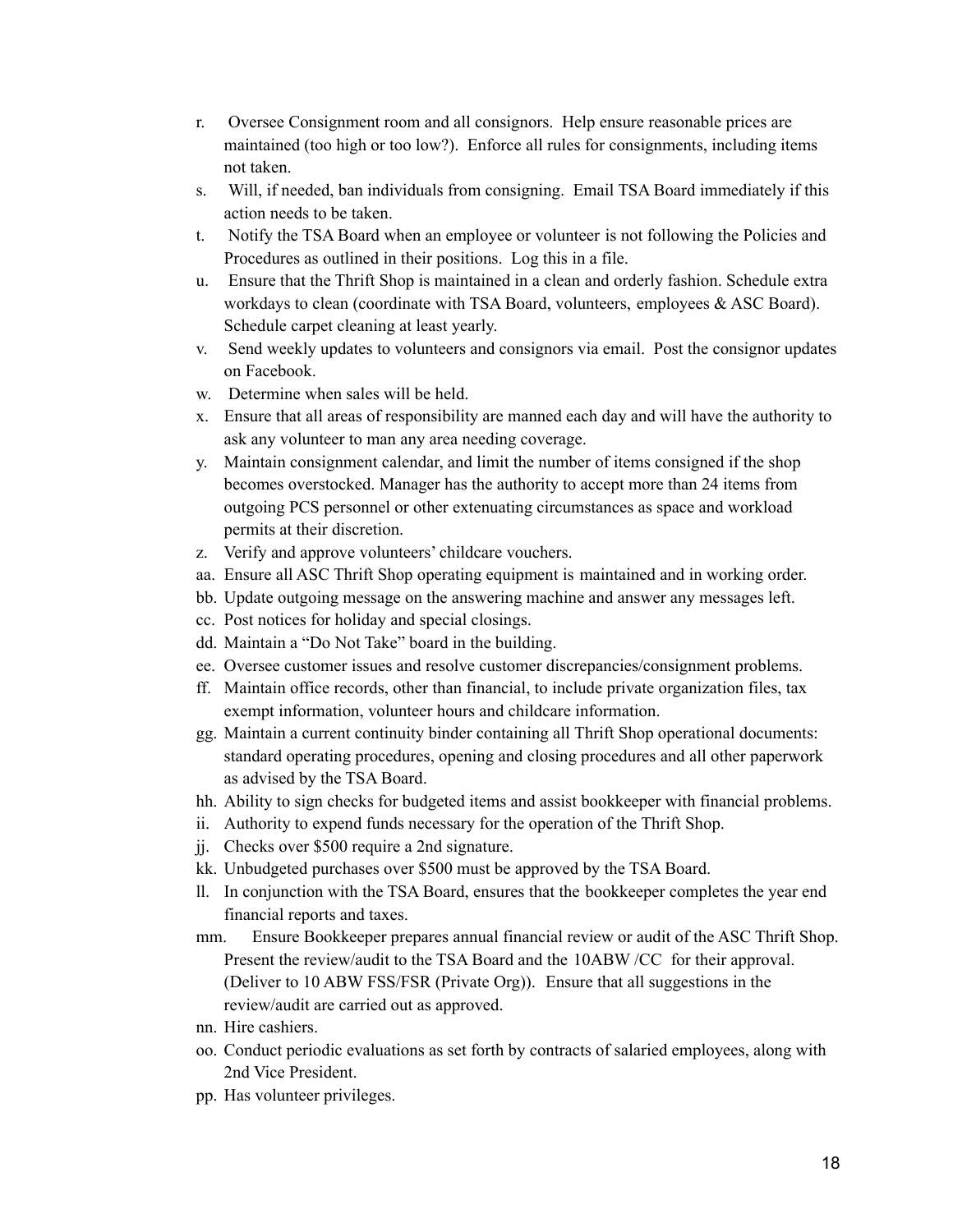- r. Oversee Consignment room and all consignors. Help ensure reasonable prices are maintained (too high or too low?). Enforce all rules for consignments, including items not taken.
- s. Will, if needed, ban individuals from consigning. Email TSA Board immediately if this action needs to be taken.
- t. Notify the TSA Board when an employee or volunteer is not following the Policies and Procedures as outlined in their positions. Log this in a file.
- u. Ensure that the Thrift Shop is maintained in a clean and orderly fashion. Schedule extra workdays to clean (coordinate with TSA Board, volunteers, employees & ASC Board). Schedule carpet cleaning at least yearly.
- v. Send weekly updates to volunteers and consignors via email. Post the consignor updates on Facebook.
- w. Determine when sales will be held.
- x. Ensure that all areas of responsibility are manned each day and will have the authority to ask any volunteer to man any area needing coverage.
- y. Maintain consignment calendar, and limit the number of items consigned if the shop becomes overstocked. Manager has the authority to accept more than 24 items from outgoing PCS personnel or other extenuating circumstances as space and workload permits at their discretion.
- z. Verify and approve volunteers' childcare vouchers.
- aa. Ensure all ASC Thrift Shop operating equipment is maintained and in working order.
- bb. Update outgoing message on the answering machine and answer any messages left.
- cc. Post notices for holiday and special closings.
- dd. Maintain a "Do Not Take" board in the building.
- ee. Oversee customer issues and resolve customer discrepancies/consignment problems.
- ff. Maintain office records, other than financial, to include private organization files, tax exempt information, volunteer hours and childcare information.
- gg. Maintain a current continuity binder containing all Thrift Shop operational documents: standard operating procedures, opening and closing procedures and all other paperwork as advised by the TSA Board.
- hh. Ability to sign checks for budgeted items and assist bookkeeper with financial problems.
- ii. Authority to expend funds necessary for the operation of the Thrift Shop.
- jj. Checks over \$500 require a 2nd signature.
- kk. Unbudgeted purchases over \$500 must be approved by the TSA Board.
- ll. In conjunction with the TSA Board, ensures that the bookkeeper completes the year end financial reports and taxes.
- mm. Ensure Bookkeeper prepares annual financial review or audit of the ASC Thrift Shop. Present the review/audit to the TSA Board and the 10ABW /CC for their approval. (Deliver to 10 ABW FSS/FSR (Private Org)). Ensure that all suggestions in the review/audit are carried out as approved.
- nn. Hire cashiers.
- oo. Conduct periodic evaluations as set forth by contracts of salaried employees, along with 2nd Vice President.
- pp. Has volunteer privileges.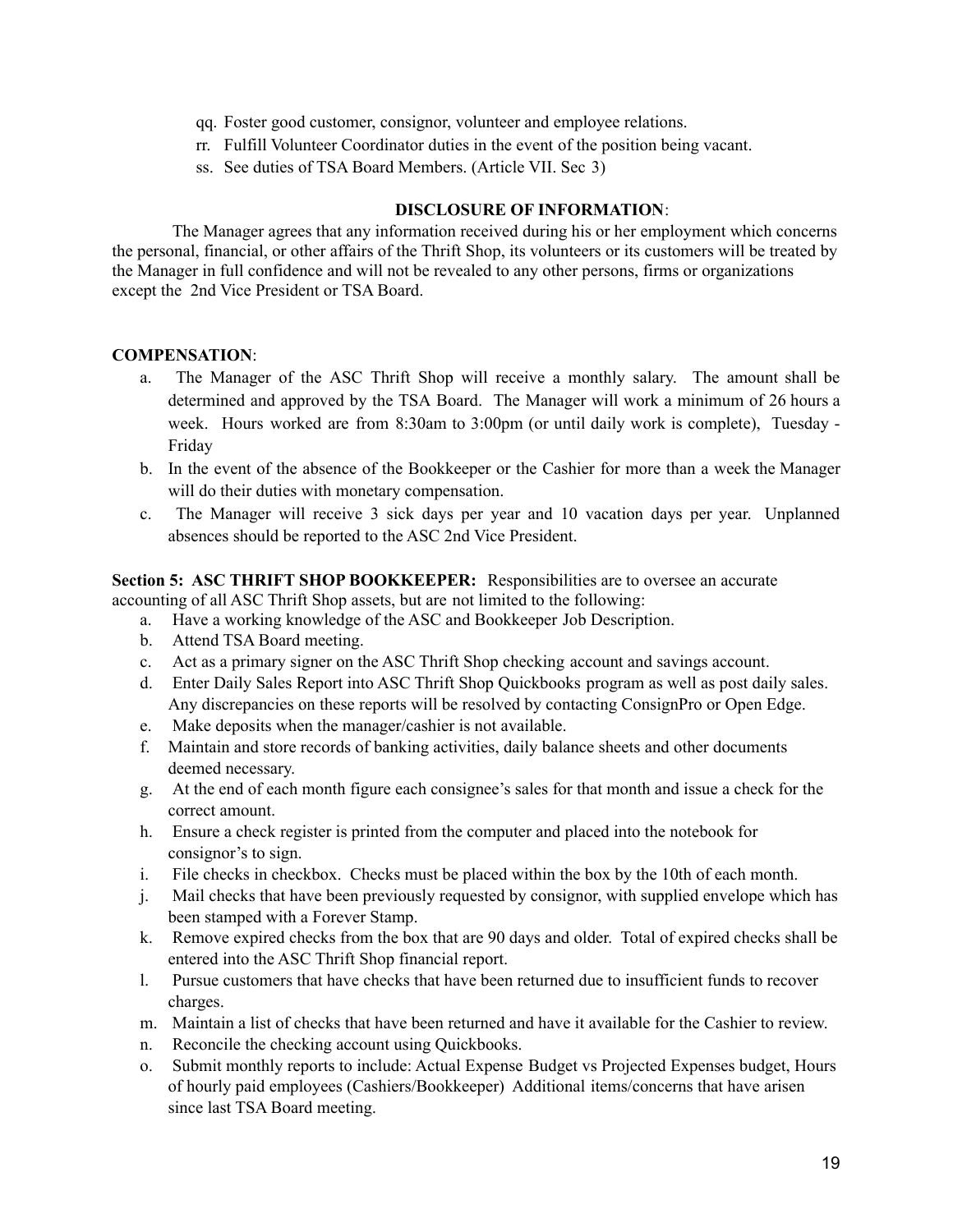- qq. Foster good customer, consignor, volunteer and employee relations.
- rr. Fulfill Volunteer Coordinator duties in the event of the position being vacant.
- ss. See duties of TSA Board Members. (Article VII. Sec 3)

### **DISCLOSURE OF INFORMATION**:

The Manager agrees that any information received during his or her employment which concerns the personal, financial, or other affairs of the Thrift Shop, its volunteers or its customers will be treated by the Manager in full confidence and will not be revealed to any other persons, firms or organizations except the 2nd Vice President or TSA Board.

# **COMPENSATION**:

- a. The Manager of the ASC Thrift Shop will receive a monthly salary. The amount shall be determined and approved by the TSA Board. The Manager will work a minimum of 26 hours a week. Hours worked are from 8:30am to 3:00pm (or until daily work is complete), Tuesday - Friday
- b. In the event of the absence of the Bookkeeper or the Cashier for more than a week the Manager will do their duties with monetary compensation.
- c. The Manager will receive 3 sick days per year and 10 vacation days per year. Unplanned absences should be reported to the ASC 2nd Vice President.

**Section 5: ASC THRIFT SHOP BOOKKEEPER:** Responsibilities are to oversee an accurate accounting of all ASC Thrift Shop assets, but are not limited to the following:

- a. Have a working knowledge of the ASC and Bookkeeper Job Description.
- b. Attend TSA Board meeting.
- c. Act as a primary signer on the ASC Thrift Shop checking account and savings account.
- d. Enter Daily Sales Report into ASC Thrift Shop Quickbooks program as well as post daily sales. Any discrepancies on these reports will be resolved by contacting ConsignPro or Open Edge.
- e. Make deposits when the manager/cashier is not available.
- f. Maintain and store records of banking activities, daily balance sheets and other documents deemed necessary.
- g. At the end of each month figure each consignee's sales for that month and issue a check for the correct amount.
- h. Ensure a check register is printed from the computer and placed into the notebook for consignor's to sign.
- i. File checks in checkbox. Checks must be placed within the box by the 10th of each month.
- j. Mail checks that have been previously requested by consignor, with supplied envelope which has been stamped with a Forever Stamp.
- k. Remove expired checks from the box that are 90 days and older. Total of expired checks shall be entered into the ASC Thrift Shop financial report.
- l. Pursue customers that have checks that have been returned due to insufficient funds to recover charges.
- m. Maintain a list of checks that have been returned and have it available for the Cashier to review.
- n. Reconcile the checking account using Quickbooks.
- o. Submit monthly reports to include: Actual Expense Budget vs Projected Expenses budget, Hours of hourly paid employees (Cashiers/Bookkeeper) Additional items/concerns that have arisen since last TSA Board meeting.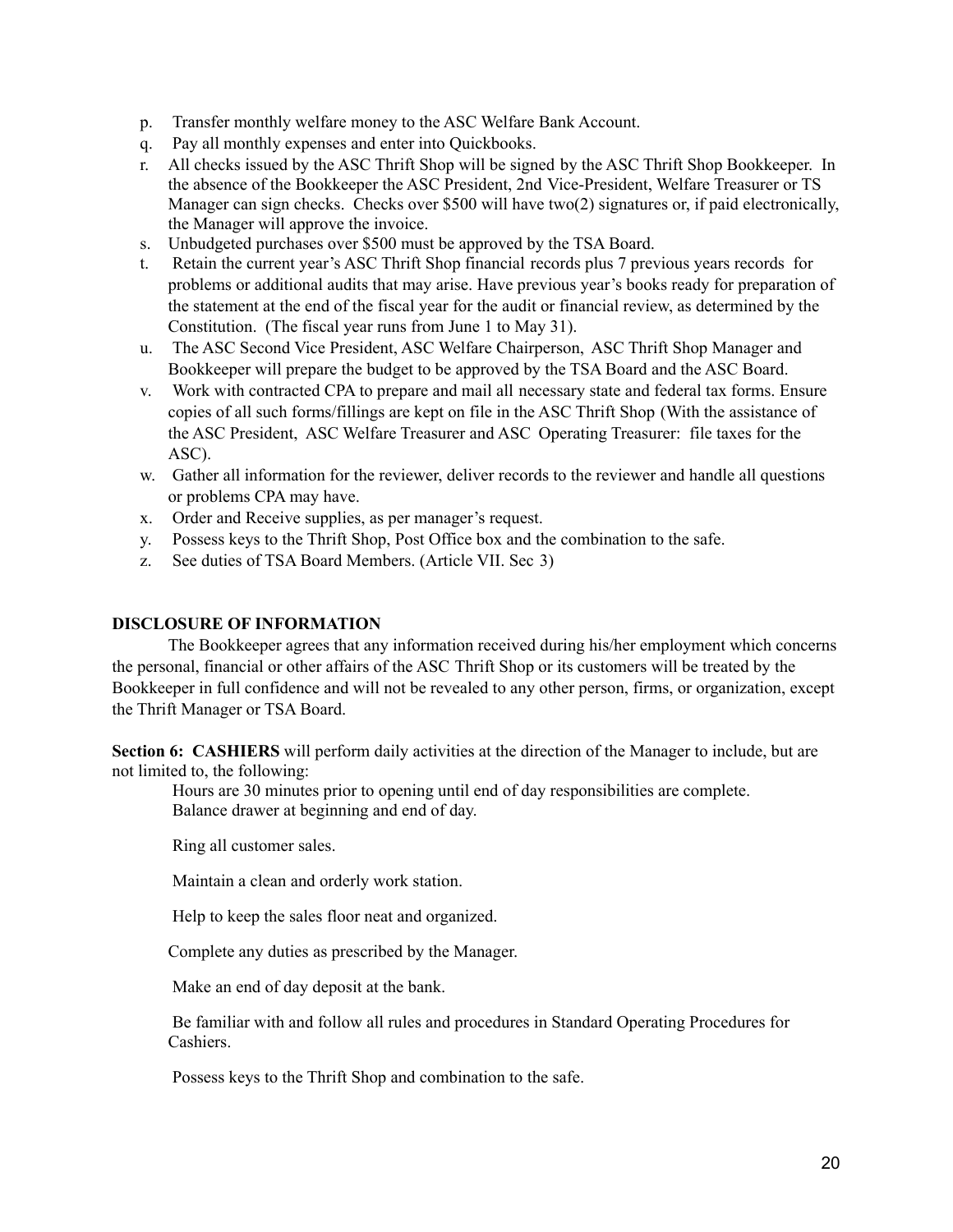- p. Transfer monthly welfare money to the ASC Welfare Bank Account.
- q. Pay all monthly expenses and enter into Quickbooks.
- r. All checks issued by the ASC Thrift Shop will be signed by the ASC Thrift Shop Bookkeeper. In the absence of the Bookkeeper the ASC President, 2nd Vice-President, Welfare Treasurer or TS Manager can sign checks. Checks over \$500 will have two(2) signatures or, if paid electronically, the Manager will approve the invoice.
- s. Unbudgeted purchases over \$500 must be approved by the TSA Board.
- t. Retain the current year's ASC Thrift Shop financial records plus 7 previous years records for problems or additional audits that may arise. Have previous year's books ready for preparation of the statement at the end of the fiscal year for the audit or financial review, as determined by the Constitution. (The fiscal year runs from June 1 to May 31).
- u. The ASC Second Vice President, ASC Welfare Chairperson, ASC Thrift Shop Manager and Bookkeeper will prepare the budget to be approved by the TSA Board and the ASC Board.
- v. Work with contracted CPA to prepare and mail all necessary state and federal tax forms. Ensure copies of all such forms/fillings are kept on file in the ASC Thrift Shop (With the assistance of the ASC President, ASC Welfare Treasurer and ASC Operating Treasurer: file taxes for the ASC).
- w. Gather all information for the reviewer, deliver records to the reviewer and handle all questions or problems CPA may have.
- x. Order and Receive supplies, as per manager's request.
- y. Possess keys to the Thrift Shop, Post Office box and the combination to the safe.
- z. See duties of TSA Board Members. (Article VII. Sec 3)

### **DISCLOSURE OF INFORMATION**

The Bookkeeper agrees that any information received during his/her employment which concerns the personal, financial or other affairs of the ASC Thrift Shop or its customers will be treated by the Bookkeeper in full confidence and will not be revealed to any other person, firms, or organization, except the Thrift Manager or TSA Board.

**Section 6: CASHIERS** will perform daily activities at the direction of the Manager to include, but are not limited to, the following:

Hours are 30 minutes prior to opening until end of day responsibilities are complete. Balance drawer at beginning and end of day.

Ring all customer sales.

Maintain a clean and orderly work station.

Help to keep the sales floor neat and organized.

Complete any duties as prescribed by the Manager.

Make an end of day deposit at the bank.

Be familiar with and follow all rules and procedures in Standard Operating Procedures for Cashiers.

Possess keys to the Thrift Shop and combination to the safe.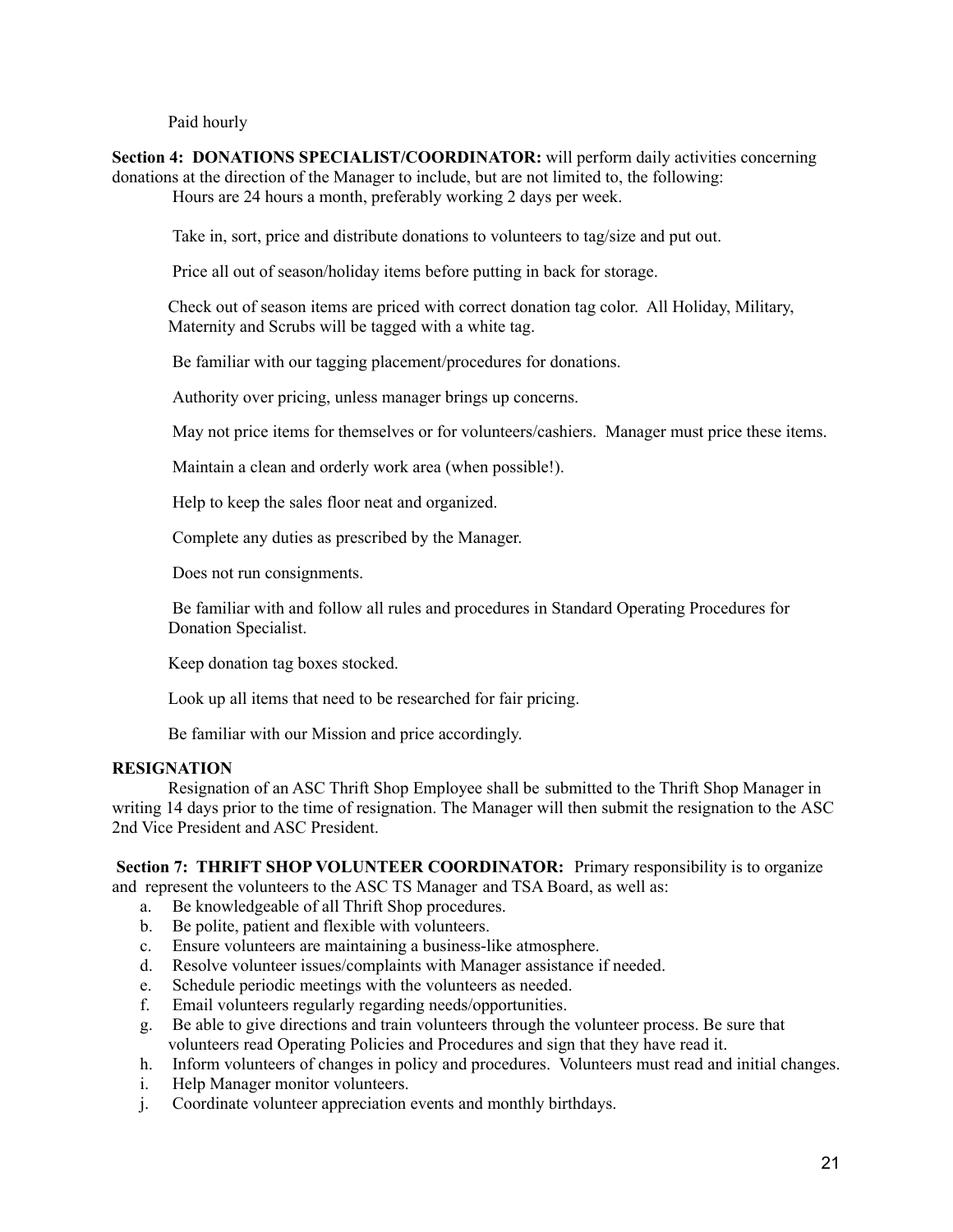Paid hourly

**Section 4: DONATIONS SPECIALIST/COORDINATOR:** will perform daily activities concerning donations at the direction of the Manager to include, but are not limited to, the following: Hours are 24 hours a month, preferably working 2 days per week.

Take in, sort, price and distribute donations to volunteers to tag/size and put out.

Price all out of season/holiday items before putting in back for storage.

Check out of season items are priced with correct donation tag color. All Holiday, Military, Maternity and Scrubs will be tagged with a white tag.

Be familiar with our tagging placement/procedures for donations.

Authority over pricing, unless manager brings up concerns.

May not price items for themselves or for volunteers/cashiers. Manager must price these items.

Maintain a clean and orderly work area (when possible!).

Help to keep the sales floor neat and organized.

Complete any duties as prescribed by the Manager.

Does not run consignments.

Be familiar with and follow all rules and procedures in Standard Operating Procedures for Donation Specialist.

Keep donation tag boxes stocked.

Look up all items that need to be researched for fair pricing.

Be familiar with our Mission and price accordingly.

#### **RESIGNATION**

Resignation of an ASC Thrift Shop Employee shall be submitted to the Thrift Shop Manager in writing 14 days prior to the time of resignation. The Manager will then submit the resignation to the ASC 2nd Vice President and ASC President.

**Section 7: THRIFT SHOP VOLUNTEER COORDINATOR:** Primary responsibility is to organize and represent the volunteers to the ASC TS Manager and TSA Board, as well as:

- a. Be knowledgeable of all Thrift Shop procedures.
- b. Be polite, patient and flexible with volunteers.
- c. Ensure volunteers are maintaining a business-like atmosphere.
- d. Resolve volunteer issues/complaints with Manager assistance if needed.
- e. Schedule periodic meetings with the volunteers as needed.
- f. Email volunteers regularly regarding needs/opportunities.
- g. Be able to give directions and train volunteers through the volunteer process. Be sure that volunteers read Operating Policies and Procedures and sign that they have read it.
- h. Inform volunteers of changes in policy and procedures. Volunteers must read and initial changes.
- i. Help Manager monitor volunteers.
- j. Coordinate volunteer appreciation events and monthly birthdays.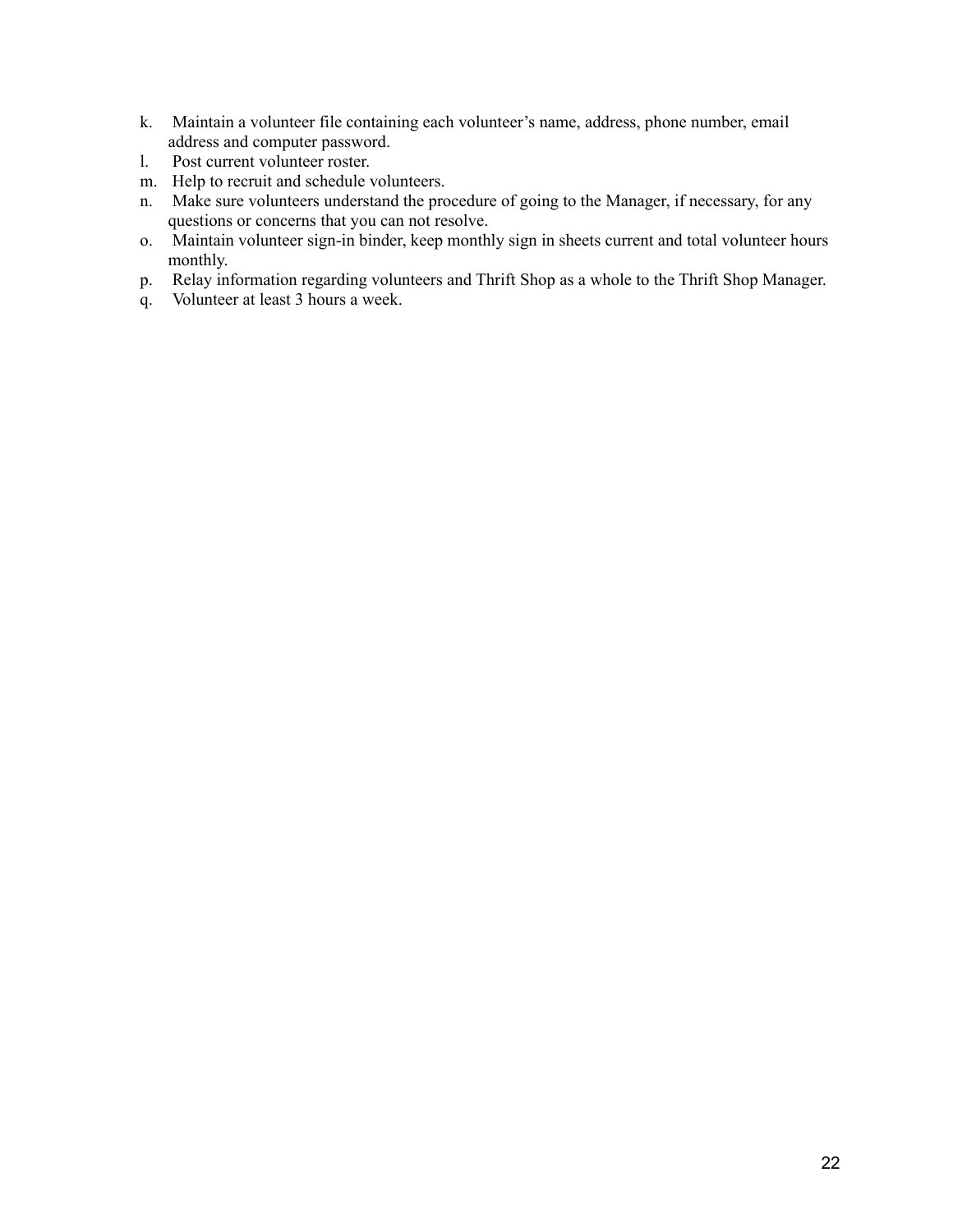- k. Maintain a volunteer file containing each volunteer's name, address, phone number, email address and computer password.
- l. Post current volunteer roster.
- m. Help to recruit and schedule volunteers.
- n. Make sure volunteers understand the procedure of going to the Manager, if necessary, for any questions or concerns that you can not resolve.
- o. Maintain volunteer sign-in binder, keep monthly sign in sheets current and total volunteer hours monthly.
- p. Relay information regarding volunteers and Thrift Shop as a whole to the Thrift Shop Manager.
- q. Volunteer at least 3 hours a week.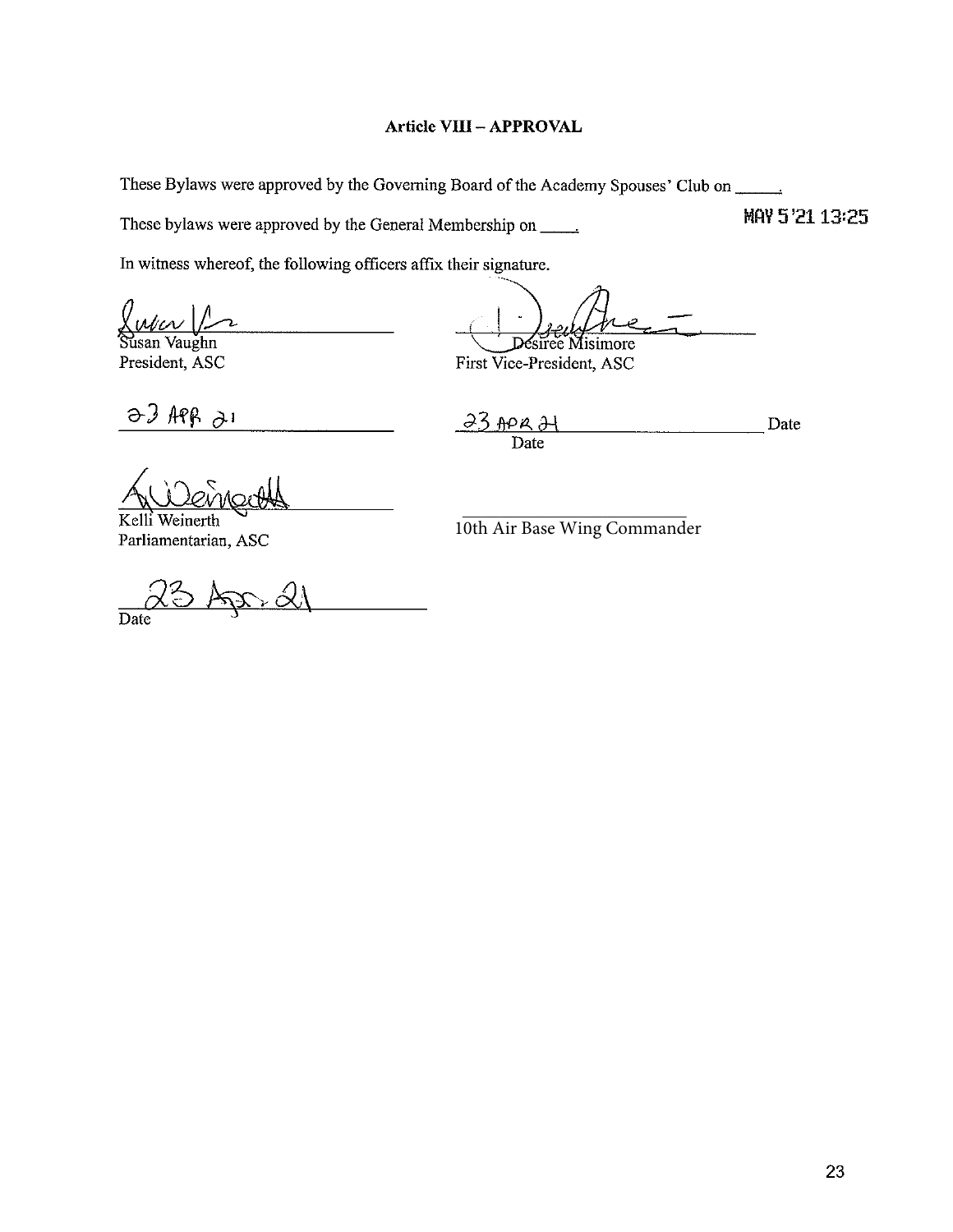# **Article VIII - APPROVAL**

These Bylaws were approved by the Governing Board of the Academy Spouses' Club on

These bylaws were approved by the General Membership on \_\_\_\_\_\_

In witness whereof, the following officers affix their signature.

r. an.

Vaughn President, ASC

Désiree Misimore

First Vice-President, ASC

 $\theta$  app  $\theta$ 1

 $23$  APR  $21$ Date Date

MAY 5'21 13:25

Kelli Weinerth Parliamentarian, ASC

10th Air Base Wing Commander

 $\overline{Date}$